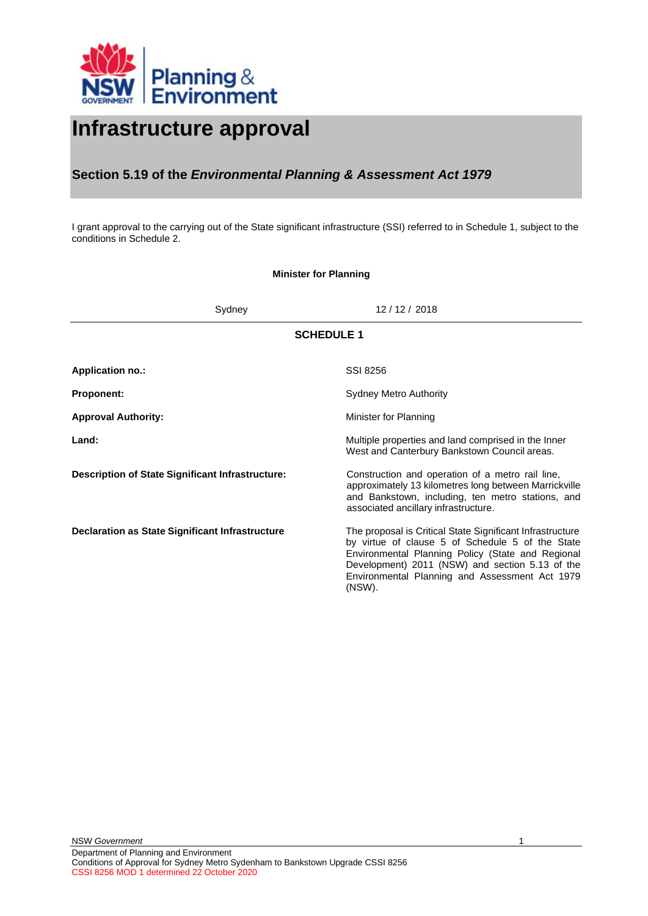

# **Infrastructure approval**

## **Section 5.19 of the** *Environmental Planning & Assessment Act 1979*

I grant approval to the carrying out of the State significant infrastructure (SSI) referred to in Schedule 1, subject to the conditions in Schedule 2.

## **Minister for Planning**

<span id="page-0-0"></span>

| Sydney                                           | 12 / 12 / 2018                                                                                                                                                                                                                                                                    |  |  |  |
|--------------------------------------------------|-----------------------------------------------------------------------------------------------------------------------------------------------------------------------------------------------------------------------------------------------------------------------------------|--|--|--|
| <b>SCHEDULE 1</b>                                |                                                                                                                                                                                                                                                                                   |  |  |  |
| <b>Application no.:</b>                          | SSI 8256                                                                                                                                                                                                                                                                          |  |  |  |
| <b>Proponent:</b>                                | <b>Sydney Metro Authority</b>                                                                                                                                                                                                                                                     |  |  |  |
| <b>Approval Authority:</b>                       | Minister for Planning                                                                                                                                                                                                                                                             |  |  |  |
| Land:                                            | Multiple properties and land comprised in the Inner<br>West and Canterbury Bankstown Council areas.                                                                                                                                                                               |  |  |  |
| Description of State Significant Infrastructure: | Construction and operation of a metro rail line,<br>approximately 13 kilometres long between Marrickville<br>and Bankstown, including, ten metro stations, and<br>associated ancillary infrastructure.                                                                            |  |  |  |
| Declaration as State Significant Infrastructure  | The proposal is Critical State Significant Infrastructure<br>by virtue of clause 5 of Schedule 5 of the State<br>Environmental Planning Policy (State and Regional<br>Development) 2011 (NSW) and section 5.13 of the<br>Environmental Planning and Assessment Act 1979<br>(NSW). |  |  |  |

1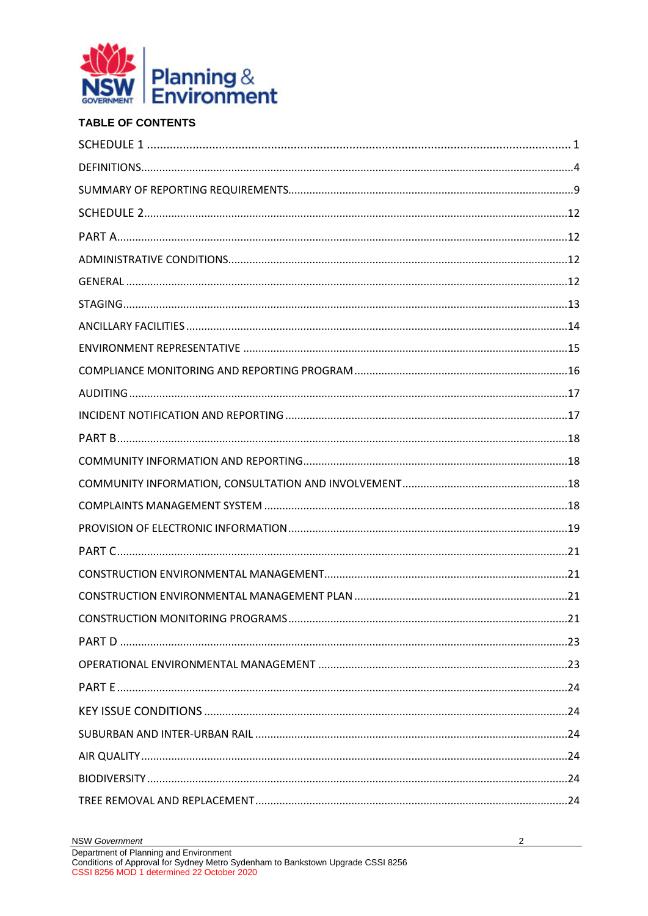

## **TABLE OF CONTENTS**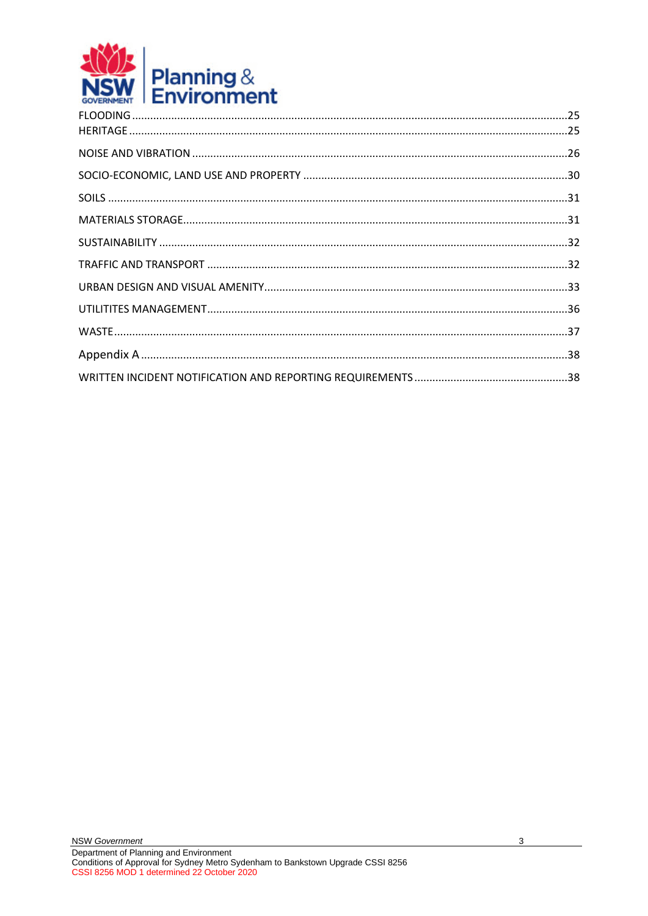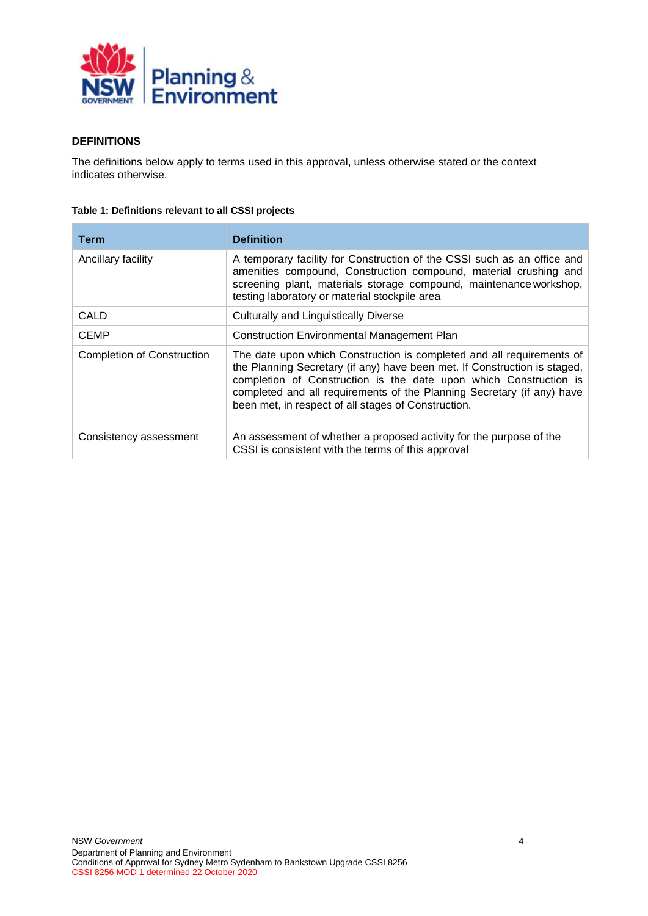

### <span id="page-3-0"></span>**DEFINITIONS**

The definitions below apply to terms used in this approval, unless otherwise stated or the context indicates otherwise.

| Table 1: Definitions relevant to all CSSI projects |  |  |  |
|----------------------------------------------------|--|--|--|
|----------------------------------------------------|--|--|--|

| Term                              | <b>Definition</b>                                                                                                                                                                                                                                                                                                                                        |
|-----------------------------------|----------------------------------------------------------------------------------------------------------------------------------------------------------------------------------------------------------------------------------------------------------------------------------------------------------------------------------------------------------|
| Ancillary facility                | A temporary facility for Construction of the CSSI such as an office and<br>amenities compound, Construction compound, material crushing and<br>screening plant, materials storage compound, maintenance workshop,<br>testing laboratory or material stockpile area                                                                                       |
| CALD                              | <b>Culturally and Linguistically Diverse</b>                                                                                                                                                                                                                                                                                                             |
| <b>CEMP</b>                       | <b>Construction Environmental Management Plan</b>                                                                                                                                                                                                                                                                                                        |
| <b>Completion of Construction</b> | The date upon which Construction is completed and all requirements of<br>the Planning Secretary (if any) have been met. If Construction is staged,<br>completion of Construction is the date upon which Construction is<br>completed and all requirements of the Planning Secretary (if any) have<br>been met, in respect of all stages of Construction. |
| Consistency assessment            | An assessment of whether a proposed activity for the purpose of the<br>CSSI is consistent with the terms of this approval                                                                                                                                                                                                                                |

4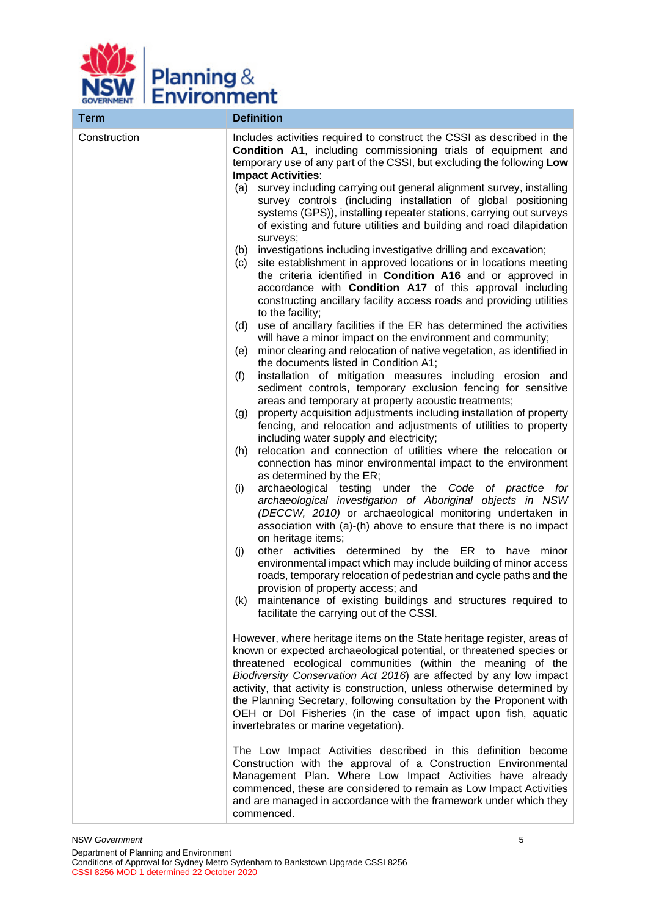

| <b>Term</b>  | <b>Definition</b>                                                                                                                                                                                                                                                                                                                                                                                                                                                                                                                                     |
|--------------|-------------------------------------------------------------------------------------------------------------------------------------------------------------------------------------------------------------------------------------------------------------------------------------------------------------------------------------------------------------------------------------------------------------------------------------------------------------------------------------------------------------------------------------------------------|
| Construction | Includes activities required to construct the CSSI as described in the<br>Condition A1, including commissioning trials of equipment and<br>temporary use of any part of the CSSI, but excluding the following Low<br><b>Impact Activities:</b><br>survey including carrying out general alignment survey, installing<br>(a)<br>survey controls (including installation of global positioning<br>systems (GPS)), installing repeater stations, carrying out surveys<br>of existing and future utilities and building and road dilapidation<br>surveys; |
|              | investigations including investigative drilling and excavation;<br>(b)<br>site establishment in approved locations or in locations meeting<br>(c)<br>the criteria identified in Condition A16 and or approved in<br>accordance with Condition A17 of this approval including<br>constructing ancillary facility access roads and providing utilities<br>to the facility;                                                                                                                                                                              |
|              | use of ancillary facilities if the ER has determined the activities<br>(d)<br>will have a minor impact on the environment and community;<br>minor clearing and relocation of native vegetation, as identified in<br>(e)                                                                                                                                                                                                                                                                                                                               |
|              | the documents listed in Condition A1;<br>installation of mitigation measures including erosion and<br>(f)<br>sediment controls, temporary exclusion fencing for sensitive<br>areas and temporary at property acoustic treatments;<br>property acquisition adjustments including installation of property<br>(g)                                                                                                                                                                                                                                       |
|              | fencing, and relocation and adjustments of utilities to property<br>including water supply and electricity;<br>relocation and connection of utilities where the relocation or<br>(h)<br>connection has minor environmental impact to the environment<br>as determined by the ER;                                                                                                                                                                                                                                                                      |
|              | archaeological testing under the Code of practice for<br>(i)<br>archaeological investigation of Aboriginal objects in NSW<br>(DECCW, 2010) or archaeological monitoring undertaken in<br>association with (a)-(h) above to ensure that there is no impact<br>on heritage items;                                                                                                                                                                                                                                                                       |
|              | other activities determined by the ER to have minor<br>(j)<br>environmental impact which may include building of minor access<br>roads, temporary relocation of pedestrian and cycle paths and the<br>provision of property access; and                                                                                                                                                                                                                                                                                                               |
|              | (k) maintenance of existing buildings and structures required to<br>facilitate the carrying out of the CSSI.                                                                                                                                                                                                                                                                                                                                                                                                                                          |
|              | However, where heritage items on the State heritage register, areas of<br>known or expected archaeological potential, or threatened species or<br>threatened ecological communities (within the meaning of the<br>Biodiversity Conservation Act 2016) are affected by any low impact<br>activity, that activity is construction, unless otherwise determined by<br>the Planning Secretary, following consultation by the Proponent with<br>OEH or Dol Fisheries (in the case of impact upon fish, aquatic<br>invertebrates or marine vegetation).     |
|              | The Low Impact Activities described in this definition become<br>Construction with the approval of a Construction Environmental<br>Management Plan. Where Low Impact Activities have already<br>commenced, these are considered to remain as Low Impact Activities<br>and are managed in accordance with the framework under which they<br>commenced.                                                                                                                                                                                                 |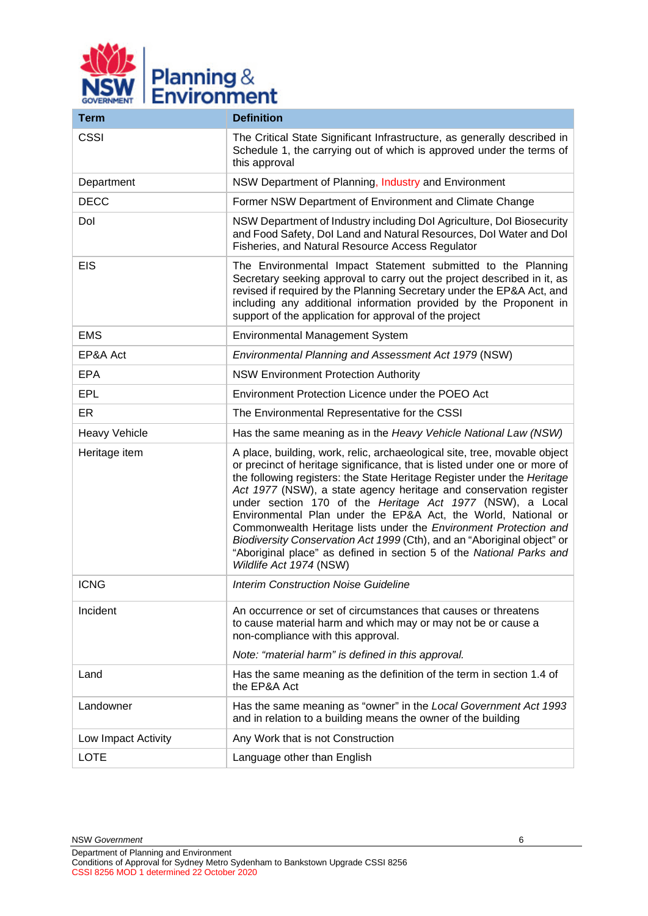

| <b>Term</b>          | <b>Definition</b>                                                                                                                                                                                                                                                                                                                                                                                                                                                                                                                                                                                                                                                                      |  |
|----------------------|----------------------------------------------------------------------------------------------------------------------------------------------------------------------------------------------------------------------------------------------------------------------------------------------------------------------------------------------------------------------------------------------------------------------------------------------------------------------------------------------------------------------------------------------------------------------------------------------------------------------------------------------------------------------------------------|--|
| <b>CSSI</b>          | The Critical State Significant Infrastructure, as generally described in<br>Schedule 1, the carrying out of which is approved under the terms of<br>this approval                                                                                                                                                                                                                                                                                                                                                                                                                                                                                                                      |  |
| Department           | NSW Department of Planning, Industry and Environment                                                                                                                                                                                                                                                                                                                                                                                                                                                                                                                                                                                                                                   |  |
| <b>DECC</b>          | Former NSW Department of Environment and Climate Change                                                                                                                                                                                                                                                                                                                                                                                                                                                                                                                                                                                                                                |  |
| Dol                  | NSW Department of Industry including Dol Agriculture, Dol Biosecurity<br>and Food Safety, Dol Land and Natural Resources, Dol Water and Dol<br>Fisheries, and Natural Resource Access Regulator                                                                                                                                                                                                                                                                                                                                                                                                                                                                                        |  |
| <b>EIS</b>           | The Environmental Impact Statement submitted to the Planning<br>Secretary seeking approval to carry out the project described in it, as<br>revised if required by the Planning Secretary under the EP&A Act, and<br>including any additional information provided by the Proponent in<br>support of the application for approval of the project                                                                                                                                                                                                                                                                                                                                        |  |
| <b>EMS</b>           | Environmental Management System                                                                                                                                                                                                                                                                                                                                                                                                                                                                                                                                                                                                                                                        |  |
| EP&A Act             | Environmental Planning and Assessment Act 1979 (NSW)                                                                                                                                                                                                                                                                                                                                                                                                                                                                                                                                                                                                                                   |  |
| <b>EPA</b>           | <b>NSW Environment Protection Authority</b>                                                                                                                                                                                                                                                                                                                                                                                                                                                                                                                                                                                                                                            |  |
| <b>EPL</b>           | Environment Protection Licence under the POEO Act                                                                                                                                                                                                                                                                                                                                                                                                                                                                                                                                                                                                                                      |  |
| ER                   | The Environmental Representative for the CSSI                                                                                                                                                                                                                                                                                                                                                                                                                                                                                                                                                                                                                                          |  |
| <b>Heavy Vehicle</b> | Has the same meaning as in the Heavy Vehicle National Law (NSW)                                                                                                                                                                                                                                                                                                                                                                                                                                                                                                                                                                                                                        |  |
| Heritage item        | A place, building, work, relic, archaeological site, tree, movable object<br>or precinct of heritage significance, that is listed under one or more of<br>the following registers: the State Heritage Register under the Heritage<br>Act 1977 (NSW), a state agency heritage and conservation register<br>under section 170 of the Heritage Act 1977 (NSW), a Local<br>Environmental Plan under the EP&A Act, the World, National or<br>Commonwealth Heritage lists under the Environment Protection and<br>Biodiversity Conservation Act 1999 (Cth), and an "Aboriginal object" or<br>"Aboriginal place" as defined in section 5 of the National Parks and<br>Wildlife Act 1974 (NSW) |  |
| <b>ICNG</b>          | <b>Interim Construction Noise Guideline</b>                                                                                                                                                                                                                                                                                                                                                                                                                                                                                                                                                                                                                                            |  |
| Incident             | An occurrence or set of circumstances that causes or threatens<br>to cause material harm and which may or may not be or cause a<br>non-compliance with this approval.<br>Note: "material harm" is defined in this approval.                                                                                                                                                                                                                                                                                                                                                                                                                                                            |  |
| Land                 | Has the same meaning as the definition of the term in section 1.4 of<br>the EP&A Act                                                                                                                                                                                                                                                                                                                                                                                                                                                                                                                                                                                                   |  |
| Landowner            | Has the same meaning as "owner" in the Local Government Act 1993<br>and in relation to a building means the owner of the building                                                                                                                                                                                                                                                                                                                                                                                                                                                                                                                                                      |  |
| Low Impact Activity  | Any Work that is not Construction                                                                                                                                                                                                                                                                                                                                                                                                                                                                                                                                                                                                                                                      |  |
| <b>LOTE</b>          | Language other than English                                                                                                                                                                                                                                                                                                                                                                                                                                                                                                                                                                                                                                                            |  |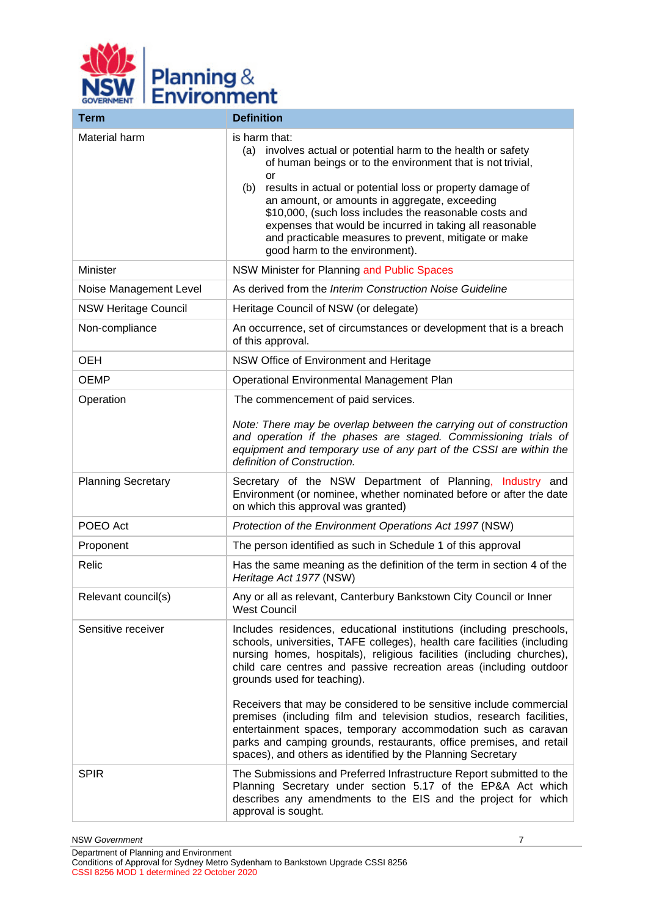

| <b>Term</b>                 | <b>Definition</b>                                                                                                                                                                                                                                                                                                                                                                                                                                                                           |
|-----------------------------|---------------------------------------------------------------------------------------------------------------------------------------------------------------------------------------------------------------------------------------------------------------------------------------------------------------------------------------------------------------------------------------------------------------------------------------------------------------------------------------------|
| Material harm               | is harm that:<br>involves actual or potential harm to the health or safety<br>(a)<br>of human beings or to the environment that is not trivial,<br>or<br>results in actual or potential loss or property damage of<br>(b)<br>an amount, or amounts in aggregate, exceeding<br>\$10,000, (such loss includes the reasonable costs and<br>expenses that would be incurred in taking all reasonable<br>and practicable measures to prevent, mitigate or make<br>good harm to the environment). |
| <b>Minister</b>             | NSW Minister for Planning and Public Spaces                                                                                                                                                                                                                                                                                                                                                                                                                                                 |
| Noise Management Level      | As derived from the Interim Construction Noise Guideline                                                                                                                                                                                                                                                                                                                                                                                                                                    |
| <b>NSW Heritage Council</b> | Heritage Council of NSW (or delegate)                                                                                                                                                                                                                                                                                                                                                                                                                                                       |
| Non-compliance              | An occurrence, set of circumstances or development that is a breach<br>of this approval.                                                                                                                                                                                                                                                                                                                                                                                                    |
| <b>OEH</b>                  | NSW Office of Environment and Heritage                                                                                                                                                                                                                                                                                                                                                                                                                                                      |
| <b>OEMP</b>                 | Operational Environmental Management Plan                                                                                                                                                                                                                                                                                                                                                                                                                                                   |
| Operation                   | The commencement of paid services.<br>Note: There may be overlap between the carrying out of construction<br>and operation if the phases are staged. Commissioning trials of<br>equipment and temporary use of any part of the CSSI are within the<br>definition of Construction.                                                                                                                                                                                                           |
| <b>Planning Secretary</b>   | Secretary of the NSW Department of Planning, Industry and<br>Environment (or nominee, whether nominated before or after the date<br>on which this approval was granted)                                                                                                                                                                                                                                                                                                                     |
| POEO Act                    | Protection of the Environment Operations Act 1997 (NSW)                                                                                                                                                                                                                                                                                                                                                                                                                                     |
| Proponent                   | The person identified as such in Schedule 1 of this approval                                                                                                                                                                                                                                                                                                                                                                                                                                |
| Relic                       | Has the same meaning as the definition of the term in section 4 of the<br>Heritage Act 1977 (NSW)                                                                                                                                                                                                                                                                                                                                                                                           |
| Relevant council(s)         | Any or all as relevant, Canterbury Bankstown City Council or Inner<br><b>West Council</b>                                                                                                                                                                                                                                                                                                                                                                                                   |
| Sensitive receiver          | Includes residences, educational institutions (including preschools,<br>schools, universities, TAFE colleges), health care facilities (including<br>nursing homes, hospitals), religious facilities (including churches),<br>child care centres and passive recreation areas (including outdoor<br>grounds used for teaching).                                                                                                                                                              |
|                             | Receivers that may be considered to be sensitive include commercial<br>premises (including film and television studios, research facilities,<br>entertainment spaces, temporary accommodation such as caravan<br>parks and camping grounds, restaurants, office premises, and retail<br>spaces), and others as identified by the Planning Secretary                                                                                                                                         |
| <b>SPIR</b>                 | The Submissions and Preferred Infrastructure Report submitted to the<br>Planning Secretary under section 5.17 of the EP&A Act which<br>describes any amendments to the EIS and the project for which<br>approval is sought.                                                                                                                                                                                                                                                                 |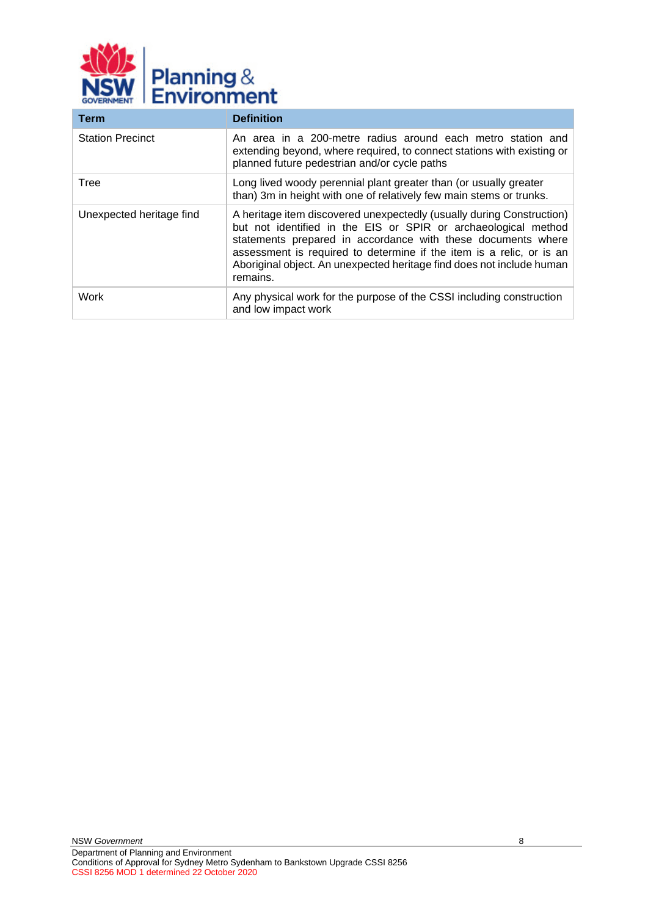

| <b>Term</b>              | <b>Definition</b>                                                                                                                                                                                                                                                                                                                                                    |  |
|--------------------------|----------------------------------------------------------------------------------------------------------------------------------------------------------------------------------------------------------------------------------------------------------------------------------------------------------------------------------------------------------------------|--|
| <b>Station Precinct</b>  | An area in a 200-metre radius around each metro station and<br>extending beyond, where required, to connect stations with existing or<br>planned future pedestrian and/or cycle paths                                                                                                                                                                                |  |
| Tree                     | Long lived woody perennial plant greater than (or usually greater<br>than) 3m in height with one of relatively few main stems or trunks.                                                                                                                                                                                                                             |  |
| Unexpected heritage find | A heritage item discovered unexpectedly (usually during Construction)<br>but not identified in the EIS or SPIR or archaeological method<br>statements prepared in accordance with these documents where<br>assessment is required to determine if the item is a relic, or is an<br>Aboriginal object. An unexpected heritage find does not include human<br>remains. |  |
| Work                     | Any physical work for the purpose of the CSSI including construction<br>and low impact work                                                                                                                                                                                                                                                                          |  |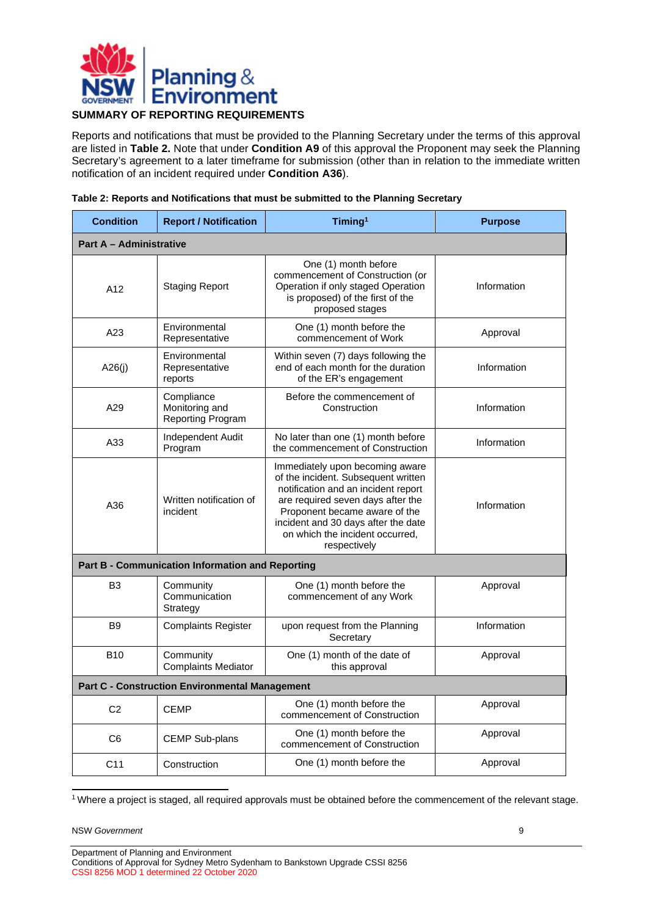

### <span id="page-8-0"></span>**SUMMARY OF REPORTING REQUIREMENTS**

Reports and notifications that must be provided to the Planning Secretary under the terms of this approval are listed in **[Table 2.](#page-8-1)** Note that under **Condition [A9](#page-12-1)** of this approval the Proponent may seek the Planning Secretary's agreement to a later timeframe for submission (other than in relation to the immediate written notification of an incident required under **Condition A36**).

<span id="page-8-1"></span>

| Table 2: Reports and Notifications that must be submitted to the Planning Secretary |  |  |
|-------------------------------------------------------------------------------------|--|--|
|-------------------------------------------------------------------------------------|--|--|

| <b>Condition</b>                                      | <b>Report / Notification</b>                      | Timing <sup>1</sup>                                                                                                                                                                                                                                                           | <b>Purpose</b> |
|-------------------------------------------------------|---------------------------------------------------|-------------------------------------------------------------------------------------------------------------------------------------------------------------------------------------------------------------------------------------------------------------------------------|----------------|
| <b>Part A - Administrative</b>                        |                                                   |                                                                                                                                                                                                                                                                               |                |
| A12                                                   | <b>Staging Report</b>                             | One (1) month before<br>commencement of Construction (or<br>Operation if only staged Operation<br>is proposed) of the first of the<br>proposed stages                                                                                                                         | Information    |
| A23                                                   | Environmental<br>Representative                   | One (1) month before the<br>commencement of Work                                                                                                                                                                                                                              | Approval       |
| A26(i)                                                | Environmental<br>Representative<br>reports        | Within seven (7) days following the<br>end of each month for the duration<br>of the ER's engagement                                                                                                                                                                           | Information    |
| A29                                                   | Compliance<br>Monitoring and<br>Reporting Program | Before the commencement of<br>Construction                                                                                                                                                                                                                                    | Information    |
| A33                                                   | Independent Audit<br>Program                      | No later than one (1) month before<br>the commencement of Construction                                                                                                                                                                                                        | Information    |
| A36                                                   | Written notification of<br>incident               | Immediately upon becoming aware<br>of the incident. Subsequent written<br>notification and an incident report<br>are required seven days after the<br>Proponent became aware of the<br>incident and 30 days after the date<br>on which the incident occurred,<br>respectively | Information    |
|                                                       | Part B - Communication Information and Reporting  |                                                                                                                                                                                                                                                                               |                |
| B <sub>3</sub>                                        | Community<br>Communication<br>Strategy            | One (1) month before the<br>commencement of any Work                                                                                                                                                                                                                          | Approval       |
| B <sub>9</sub>                                        | <b>Complaints Register</b>                        | upon request from the Planning<br>Secretary                                                                                                                                                                                                                                   | Information    |
| <b>B10</b>                                            | Community<br><b>Complaints Mediator</b>           | One (1) month of the date of<br>this approval                                                                                                                                                                                                                                 | Approval       |
| <b>Part C - Construction Environmental Management</b> |                                                   |                                                                                                                                                                                                                                                                               |                |
| C <sub>2</sub>                                        | <b>CEMP</b>                                       | One (1) month before the<br>commencement of Construction                                                                                                                                                                                                                      | Approval       |
| C <sub>6</sub>                                        | <b>CEMP Sub-plans</b>                             | One (1) month before the<br>commencement of Construction                                                                                                                                                                                                                      | Approval       |
| C <sub>11</sub>                                       | Construction                                      | One (1) month before the                                                                                                                                                                                                                                                      | Approval       |

1 Where a project is staged, all required approvals must be obtained before the commencement of the relevant stage.

NSW *Government* 9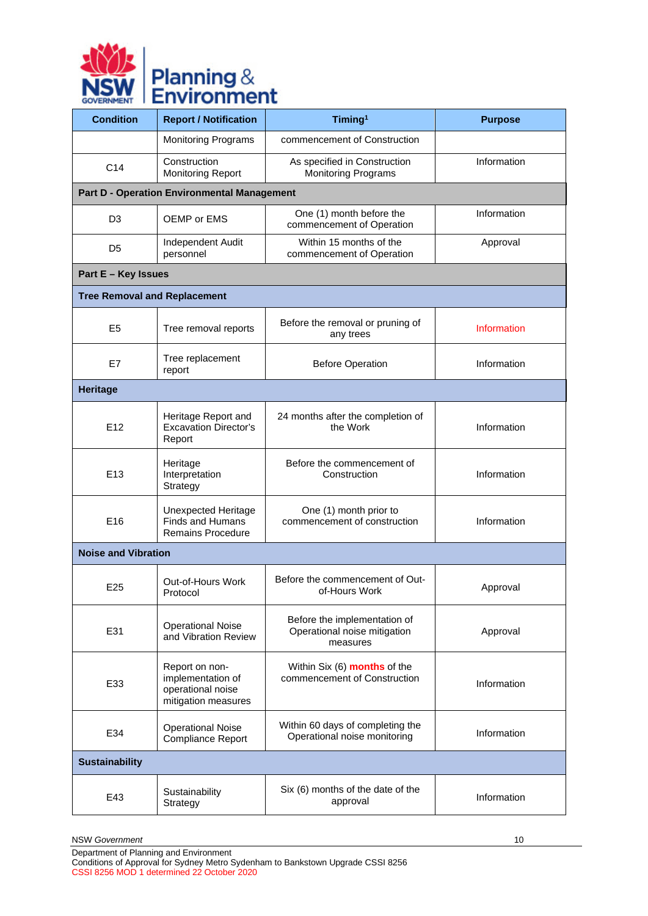

| <b>Condition</b>                    | <b>Report / Notification</b>                                                      | Timing <sup>1</sup>                                                      | <b>Purpose</b> |
|-------------------------------------|-----------------------------------------------------------------------------------|--------------------------------------------------------------------------|----------------|
|                                     | <b>Monitoring Programs</b>                                                        | commencement of Construction                                             |                |
| C <sub>14</sub>                     | Construction<br><b>Monitoring Report</b>                                          | As specified in Construction<br><b>Monitoring Programs</b>               | Information    |
|                                     | <b>Part D - Operation Environmental Management</b>                                |                                                                          |                |
| D <sub>3</sub>                      | OEMP or EMS                                                                       | One (1) month before the<br>commencement of Operation                    | Information    |
| D <sub>5</sub>                      | Independent Audit<br>personnel                                                    | Within 15 months of the<br>commencement of Operation                     | Approval       |
| Part E - Key Issues                 |                                                                                   |                                                                          |                |
| <b>Tree Removal and Replacement</b> |                                                                                   |                                                                          |                |
| E <sub>5</sub>                      | Tree removal reports                                                              | Before the removal or pruning of<br>any trees                            | Information    |
| E7                                  | Tree replacement<br>report                                                        | <b>Before Operation</b>                                                  | Information    |
| <b>Heritage</b>                     |                                                                                   |                                                                          |                |
| E12                                 | Heritage Report and<br><b>Excavation Director's</b><br>Report                     | 24 months after the completion of<br>the Work                            | Information    |
| E13                                 | Heritage<br>Interpretation<br>Strategy                                            | Before the commencement of<br>Construction                               | Information    |
| E16                                 | <b>Unexpected Heritage</b><br><b>Finds and Humans</b><br><b>Remains Procedure</b> | One (1) month prior to<br>commencement of construction                   | Information    |
| <b>Noise and Vibration</b>          |                                                                                   |                                                                          |                |
| E25                                 | Out-of-Hours Work<br>Protocol                                                     | Before the commencement of Out-<br>of-Hours Work                         | Approval       |
| E31                                 | <b>Operational Noise</b><br>and Vibration Review                                  | Before the implementation of<br>Operational noise mitigation<br>measures | Approval       |
| E33                                 | Report on non-<br>implementation of<br>operational noise<br>mitigation measures   | Within Six (6) months of the<br>commencement of Construction             | Information    |
| E34                                 | <b>Operational Noise</b><br><b>Compliance Report</b>                              | Within 60 days of completing the<br>Operational noise monitoring         | Information    |
| <b>Sustainability</b>               |                                                                                   |                                                                          |                |
| E43                                 | Sustainability<br>Strategy                                                        | Six (6) months of the date of the<br>approval                            | Information    |

NSW *Government* 10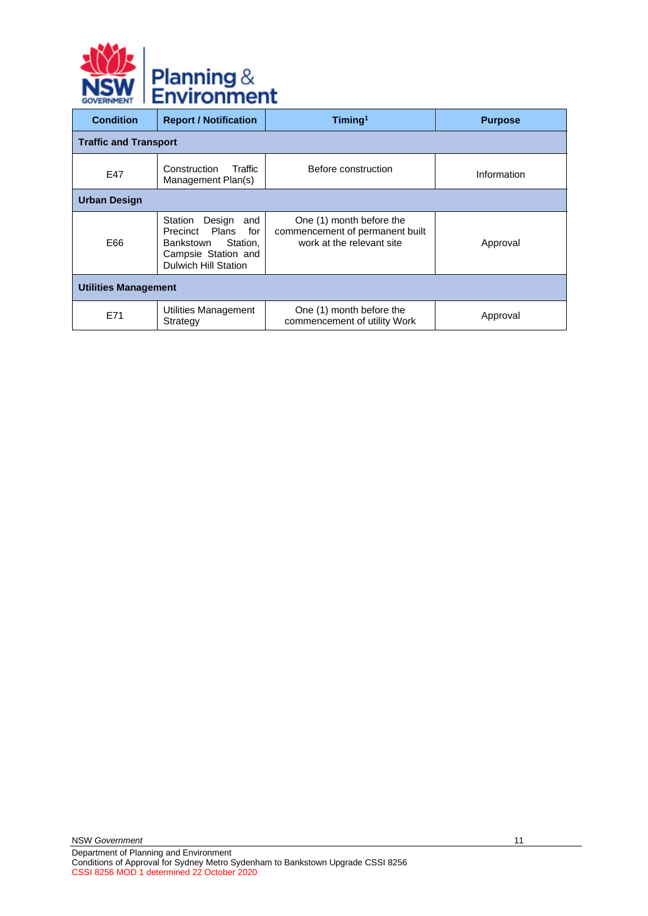

| <b>Condition</b>             | <b>Report / Notification</b>                                                                                                     | Timing <sup>1</sup>                                                                      | <b>Purpose</b> |  |  |
|------------------------------|----------------------------------------------------------------------------------------------------------------------------------|------------------------------------------------------------------------------------------|----------------|--|--|
| <b>Traffic and Transport</b> |                                                                                                                                  |                                                                                          |                |  |  |
| E47                          | Construction<br>Traffic<br>Management Plan(s)                                                                                    | Before construction                                                                      | Information    |  |  |
| <b>Urban Design</b>          |                                                                                                                                  |                                                                                          |                |  |  |
| E66                          | Station<br>Design<br>and<br>Precinct Plans<br>for<br>Station,<br>Bankstown<br>Campsie Station and<br><b>Dulwich Hill Station</b> | One (1) month before the<br>commencement of permanent built<br>work at the relevant site | Approval       |  |  |
| <b>Utilities Management</b>  |                                                                                                                                  |                                                                                          |                |  |  |
| E71                          | Utilities Management<br>Strategy                                                                                                 | One (1) month before the<br>commencement of utility Work                                 | Approval       |  |  |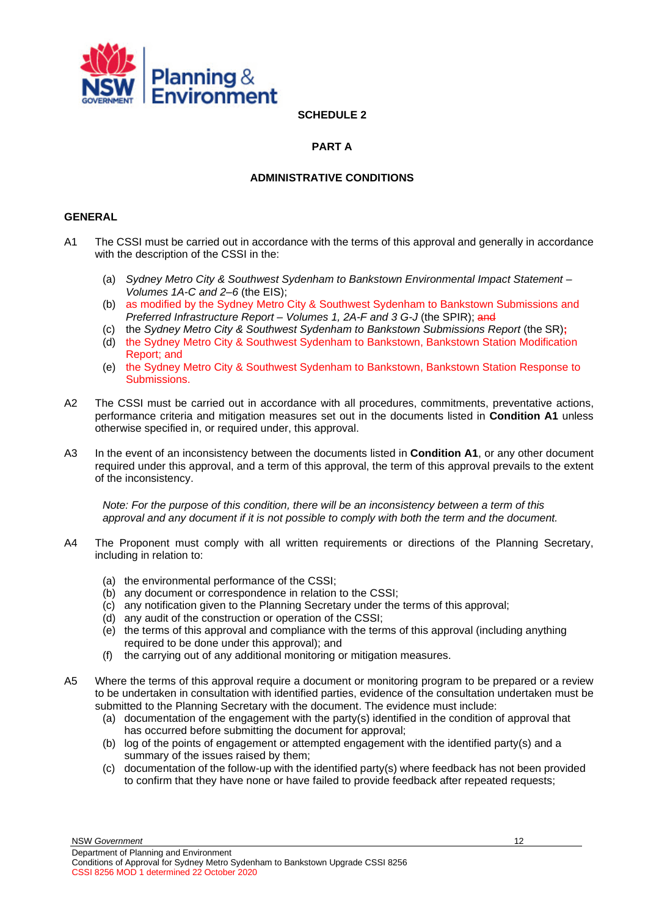<span id="page-11-0"></span>

**SCHEDULE 2** 

### <span id="page-11-1"></span>**PART A**

### **ADMINISTRATIVE CONDITIONS**

### <span id="page-11-3"></span><span id="page-11-2"></span>**GENERAL**

- <span id="page-11-4"></span>A1 The CSSI must be carried out in accordance with the terms of this approval and generally in accordance with the description of the CSSI in the:
	- (a) *Sydney Metro City & Southwest Sydenham to Bankstown Environmental Impact Statement – Volumes 1A-C and 2–6* (the EIS);
	- (b) as modified by the Sydney Metro City & Southwest Sydenham to Bankstown Submissions and *Preferred Infrastructure Report – Volumes 1, 2A-F and 3 G-J* (the SPIR); and
	- (c) the *Sydney Metro City & Southwest Sydenham to Bankstown Submissions Report* (the SR)**;**
	- (d) the Sydney Metro City & Southwest Sydenham to Bankstown, Bankstown Station Modification Report; and
	- (e) the Sydney Metro City & Southwest Sydenham to Bankstown, Bankstown Station Response to Submissions.
- <span id="page-11-5"></span>A2 The CSSI must be carried out in accordance with all procedures, commitments, preventative actions, performance criteria and mitigation measures set out in the documents listed in **Condition [A1](#page-11-4)** unless otherwise specified in, or required under, this approval.
- A3 In the event of an inconsistency between the documents listed in **Condition [A1](#page-11-4)**, or any other document required under this approval, and a term of this approval, the term of this approval prevails to the extent of the inconsistency.

*Note: For the purpose of this condition, there will be an inconsistency between a term of this approval and any document if it is not possible to comply with both the term and the document.*

- A4 The Proponent must comply with all written requirements or directions of the Planning Secretary, including in relation to:
	- (a) the environmental performance of the CSSI;
	- (b) any document or correspondence in relation to the CSSI;
	- (c) any notification given to the Planning Secretary under the terms of this approval;
	- (d) any audit of the construction or operation of the CSSI;
	- (e) the terms of this approval and compliance with the terms of this approval (including anything required to be done under this approval); and
	- (f) the carrying out of any additional monitoring or mitigation measures.
- A5 Where the terms of this approval require a document or monitoring program to be prepared or a review to be undertaken in consultation with identified parties, evidence of the consultation undertaken must be submitted to the Planning Secretary with the document. The evidence must include:
	- (a) documentation of the engagement with the party(s) identified in the condition of approval that has occurred before submitting the document for approval;
	- (b) log of the points of engagement or attempted engagement with the identified party(s) and a summary of the issues raised by them;
	- (c) documentation of the follow-up with the identified party(s) where feedback has not been provided to confirm that they have none or have failed to provide feedback after repeated requests;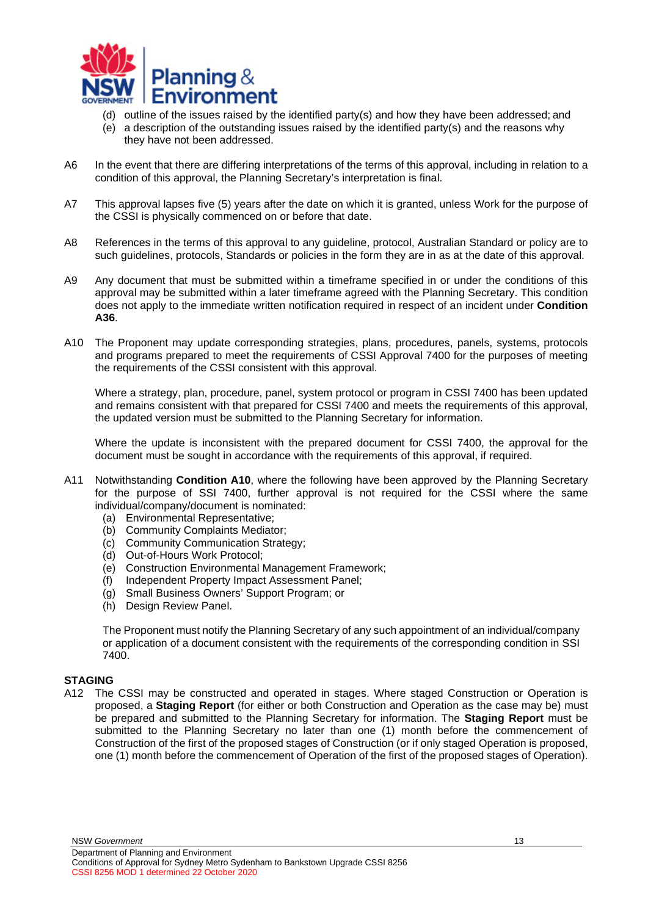

- (d) outline of the issues raised by the identified party(s) and how they have been addressed; and
- <span id="page-12-1"></span>(e) a description of the outstanding issues raised by the identified party(s) and the reasons why they have not been addressed.
- A6 In the event that there are differing interpretations of the terms of this approval, including in relation to a condition of this approval, the Planning Secretary's interpretation is final.
- A7 This approval lapses five (5) years after the date on which it is granted, unless Work for the purpose of the CSSI is physically commenced on or before that date.
- A8 References in the terms of this approval to any guideline, protocol, Australian Standard or policy are to such guidelines, protocols, Standards or policies in the form they are in as at the date of this approval.
- A9 Any document that must be submitted within a timeframe specified in or under the conditions of this approval may be submitted within a later timeframe agreed with the Planning Secretary. This condition does not apply to the immediate written notification required in respect of an incident under **Condition [A36](#page-16-3)**.
- <span id="page-12-3"></span>A10 The Proponent may update corresponding strategies, plans, procedures, panels, systems, protocols and programs prepared to meet the requirements of CSSI Approval 7400 for the purposes of meeting the requirements of the CSSI consistent with this approval.

Where a strategy, plan, procedure, panel, system protocol or program in CSSI 7400 has been updated and remains consistent with that prepared for CSSI 7400 and meets the requirements of this approval, the updated version must be submitted to the Planning Secretary for information.

Where the update is inconsistent with the prepared document for CSSI 7400, the approval for the document must be sought in accordance with the requirements of this approval, if required.

- A11 Notwithstanding **Condition [A10](#page-12-3)**, where the following have been approved by the Planning Secretary for the purpose of SSI 7400, further approval is not required for the CSSI where the same individual/company/document is nominated:
	- (a) Environmental Representative;
	- (b) Community Complaints Mediator;
	- (c) Community Communication Strategy;
	- (d) Out-of-Hours Work Protocol;
	- (e) Construction Environmental Management Framework;
	- (f) Independent Property Impact Assessment Panel;
	- (g) Small Business Owners' Support Program; or
	- (h) Design Review Panel.

The Proponent must notify the Planning Secretary of any such appointment of an individual/company or application of a document consistent with the requirements of the corresponding condition in SSI 7400.

### <span id="page-12-0"></span>**STAGING**

<span id="page-12-2"></span>A12 The CSSI may be constructed and operated in stages. Where staged Construction or Operation is proposed, a **Staging Report** (for either or both Construction and Operation as the case may be) must be prepared and submitted to the Planning Secretary for information. The **Staging Report** must be submitted to the Planning Secretary no later than one (1) month before the commencement of Construction of the first of the proposed stages of Construction (or if only staged Operation is proposed, one (1) month before the commencement of Operation of the first of the proposed stages of Operation).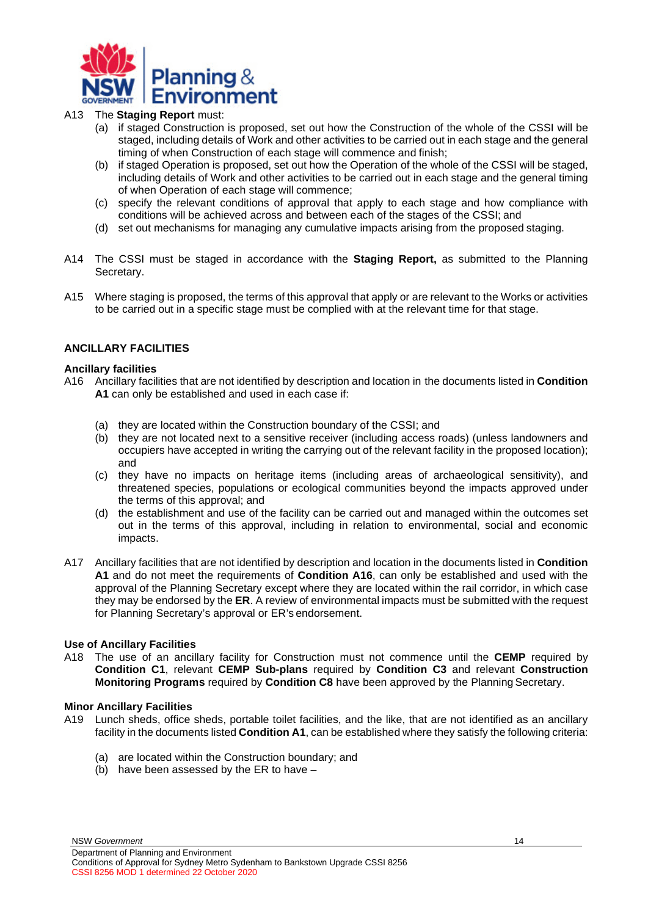

### A13 The **Staging Report** must:

- (a) if staged Construction is proposed, set out how the Construction of the whole of the CSSI will be staged, including details of Work and other activities to be carried out in each stage and the general timing of when Construction of each stage will commence and finish;
- (b) if staged Operation is proposed, set out how the Operation of the whole of the CSSI will be staged, including details of Work and other activities to be carried out in each stage and the general timing of when Operation of each stage will commence;
- (c) specify the relevant conditions of approval that apply to each stage and how compliance with conditions will be achieved across and between each of the stages of the CSSI; and
- (d) set out mechanisms for managing any cumulative impacts arising from the proposed staging.
- A14 The CSSI must be staged in accordance with the **Staging Report,** as submitted to the Planning Secretary.
- A15 Where staging is proposed, the terms of this approval that apply or are relevant to the Works or activities to be carried out in a specific stage must be complied with at the relevant time for that stage.

### <span id="page-13-0"></span>**ANCILLARY FACILITIES**

### **Ancillary facilities**

- A16 Ancillary facilities that are not identified by description and location in the documents listed in **Condition [A1](#page-11-4)** can only be established and used in each case if:
	- (a) they are located within the Construction boundary of the CSSI; and
	- (b) they are not located next to a sensitive receiver (including access roads) (unless landowners and occupiers have accepted in writing the carrying out of the relevant facility in the proposed location); and
	- (c) they have no impacts on heritage items (including areas of archaeological sensitivity), and threatened species, populations or ecological communities beyond the impacts approved under the terms of this approval; and
	- (d) the establishment and use of the facility can be carried out and managed within the outcomes set out in the terms of this approval, including in relation to environmental, social and economic impacts.
- A17 Ancillary facilities that are not identified by description and location in the documents listed in **Condition [A1](#page-11-4)** and do not meet the requirements of **Condition A16**, can only be established and used with the approval of the Planning Secretary except where they are located within the rail corridor, in which case they may be endorsed by the **ER**. A review of environmental impacts must be submitted with the request for Planning Secretary's approval or ER's endorsement.

### **Use of Ancillary Facilities**

A18 The use of an ancillary facility for Construction must not commence until the **CEMP** required by **Condition C1**, relevant **CEMP Sub-plans** required by **Condition C3** and relevant **Construction Monitoring Programs** required by **Condition C8** have been approved by the Planning Secretary.

### **Minor Ancillary Facilities**

- A19 Lunch sheds, office sheds, portable toilet facilities, and the like, that are not identified as an ancillary facility in the documents listed **Condition A1**, can be established where they satisfy the following criteria:
	- (a) are located within the Construction boundary; and
	- (b) have been assessed by the ER to have –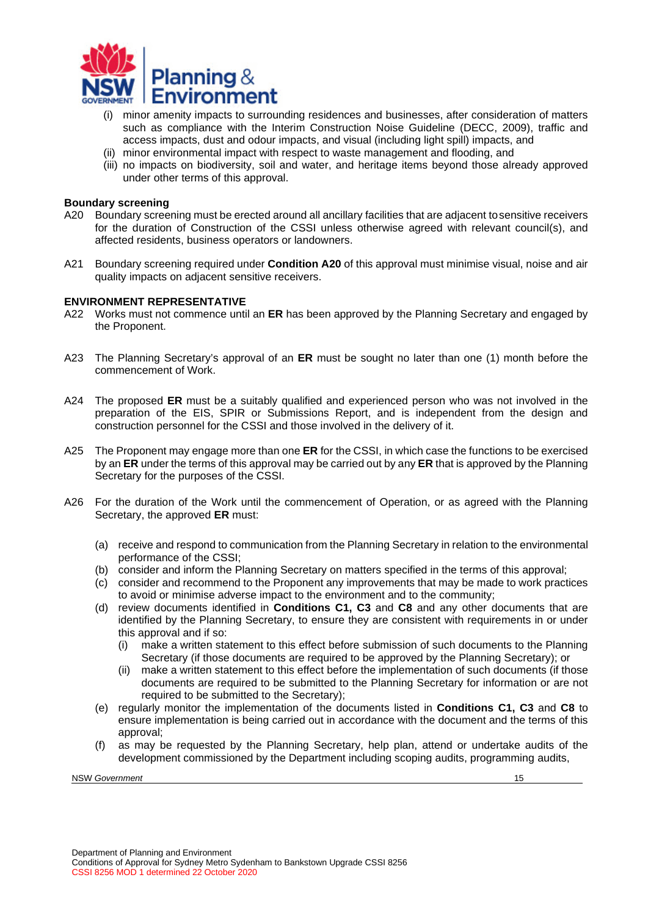

- (i) minor amenity impacts to surrounding residences and businesses, after consideration of matters such as compliance with the Interim Construction Noise Guideline (DECC, 2009), traffic and access impacts, dust and odour impacts, and visual (including light spill) impacts, and
- (ii) minor environmental impact with respect to waste management and flooding, and
- (iii) no impacts on biodiversity, soil and water, and heritage items beyond those already approved under other terms of this approval.

### **Boundary screening**

- A20 Boundary screening must be erected around all ancillary facilities that are adjacent tosensitive receivers for the duration of Construction of the CSSI unless otherwise agreed with relevant council(s), and affected residents, business operators or landowners.
- A21 Boundary screening required under **Condition A20** of this approval must minimise visual, noise and air quality impacts on adjacent sensitive receivers.

#### <span id="page-14-0"></span>**ENVIRONMENT REPRESENTATIVE**

- A22 Works must not commence until an **ER** has been approved by the Planning Secretary and engaged by the Proponent.
- <span id="page-14-1"></span>A23 The Planning Secretary's approval of an **ER** must be sought no later than one (1) month before the commencement of Work.
- A24 The proposed **ER** must be a suitably qualified and experienced person who was not involved in the preparation of the EIS, SPIR or Submissions Report, and is independent from the design and construction personnel for the CSSI and those involved in the delivery of it.
- A25 The Proponent may engage more than one **ER** for the CSSI, in which case the functions to be exercised by an **ER** under the terms of this approval may be carried out by any **ER** that is approved by the Planning Secretary for the purposes of the CSSI.
- A26 For the duration of the Work until the commencement of Operation, or as agreed with the Planning Secretary, the approved **ER** must:
	- (a) receive and respond to communication from the Planning Secretary in relation to the environmental performance of the CSSI;
	- (b) consider and inform the Planning Secretary on matters specified in the terms of this approval;
	- (c) consider and recommend to the Proponent any improvements that may be made to work practices to avoid or minimise adverse impact to the environment and to the community;
	- (d) review documents identified in **Conditions [C1, C](#page-20-5)3** and **C8** and any other documents that are identified by the Planning Secretary, to ensure they are consistent with requirements in or under this approval and if so:
		- (i) make a written statement to this effect before submission of such documents to the Planning Secretary (if those documents are required to be approved by the Planning Secretary); or
		- (ii) make a written statement to this effect before the implementation of such documents (if those documents are required to be submitted to the Planning Secretary for information or are not required to be submitted to the Secretary);
	- (e) regularly monitor the implementation of the documents listed in **Conditions [C1, C](#page-20-5)3** and **C8** to ensure implementation is being carried out in accordance with the document and the terms of this approval;
	- (f) as may be requested by the Planning Secretary, help plan, attend or undertake audits of the development commissioned by the Department including scoping audits, programming audits,

NSW *Government* 15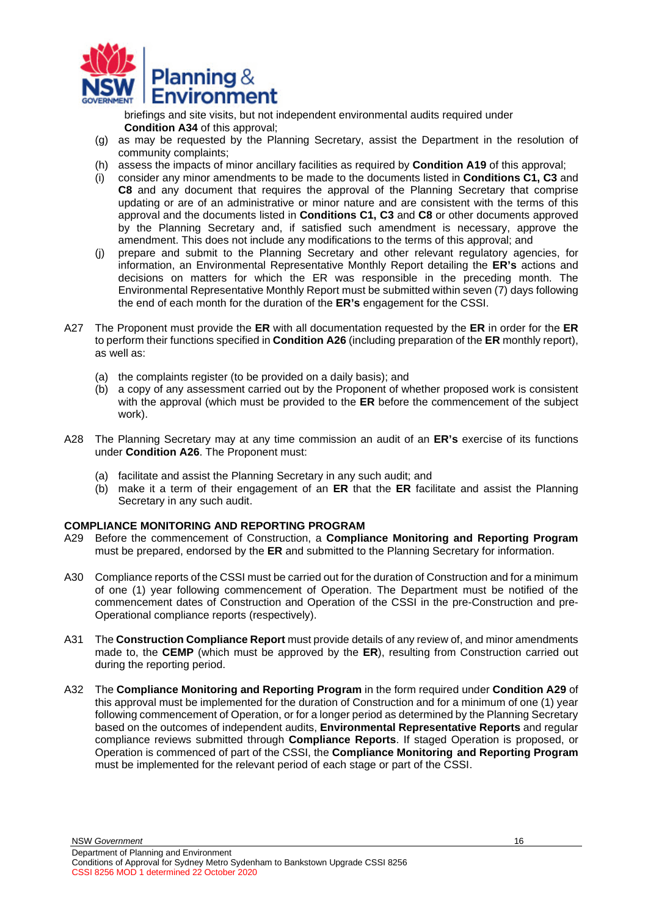

<span id="page-15-1"></span>briefings and site visits, but not independent environmental audits required under **Condition A34** of this approval;

- (g) as may be requested by the Planning Secretary, assist the Department in the resolution of community complaints;
- (h) assess the impacts of minor ancillary facilities as required by **Condition A19** of this approval;
- (i) consider any minor amendments to be made to the documents listed in **Conditions C1, C3** and **C8** and any document that requires the approval of the Planning Secretary that comprise updating or are of an administrative or minor nature and are consistent with the terms of this approval and the documents listed in **Conditions C1, C3** and **C8** or other documents approved by the Planning Secretary and, if satisfied such amendment is necessary, approve the amendment. This does not include any modifications to the terms of this approval; and
- (j) prepare and submit to the Planning Secretary and other relevant regulatory agencies, for information, an Environmental Representative Monthly Report detailing the **ER's** actions and decisions on matters for which the ER was responsible in the preceding month. The Environmental Representative Monthly Report must be submitted within seven (7) days following the end of each month for the duration of the **ER's** engagement for the CSSI.
- A27 The Proponent must provide the **ER** with all documentation requested by the **ER** in order for the **ER**  to perform their functions specified in **Condition A26** (including preparation of the **ER** monthly report), as well as:
	- (a) the complaints register (to be provided on a daily basis); and
	- (b) a copy of any assessment carried out by the Proponent of whether proposed work is consistent with the approval (which must be provided to the **ER** before the commencement of the subject work).
- A28 The Planning Secretary may at any time commission an audit of an **ER's** exercise of its functions under **Condition A26**. The Proponent must:
	- (a) facilitate and assist the Planning Secretary in any such audit; and
	- (b) make it a term of their engagement of an **ER** that the **ER** facilitate and assist the Planning Secretary in any such audit.

### <span id="page-15-0"></span>**COMPLIANCE MONITORING AND REPORTING PROGRAM**

- <span id="page-15-3"></span><span id="page-15-2"></span>A29 Before the commencement of Construction, a **Compliance Monitoring and Reporting Program** must be prepared, endorsed by the **ER** and submitted to the Planning Secretary for information.
- A30 Compliance reports of the CSSI must be carried out for the duration of Construction and for a minimum of one (1) year following commencement of Operation. The Department must be notified of the commencement dates of Construction and Operation of the CSSI in the pre-Construction and pre-Operational compliance reports (respectively).
- A31 The **Construction Compliance Report** must provide details of any review of, and minor amendments made to, the **CEMP** (which must be approved by the **ER**), resulting from Construction carried out during the reporting period.
- A32 The **Compliance Monitoring and Reporting Program** in the form required under **Condition [A29](#page-15-3)** of this approval must be implemented for the duration of Construction and for a minimum of one (1) year following commencement of Operation, or for a longer period as determined by the Planning Secretary based on the outcomes of independent audits, **Environmental Representative Reports** and regular compliance reviews submitted through **Compliance Reports**. If staged Operation is proposed, or Operation is commenced of part of the CSSI, the **Compliance Monitoring and Reporting Program**  must be implemented for the relevant period of each stage or part of the CSSI.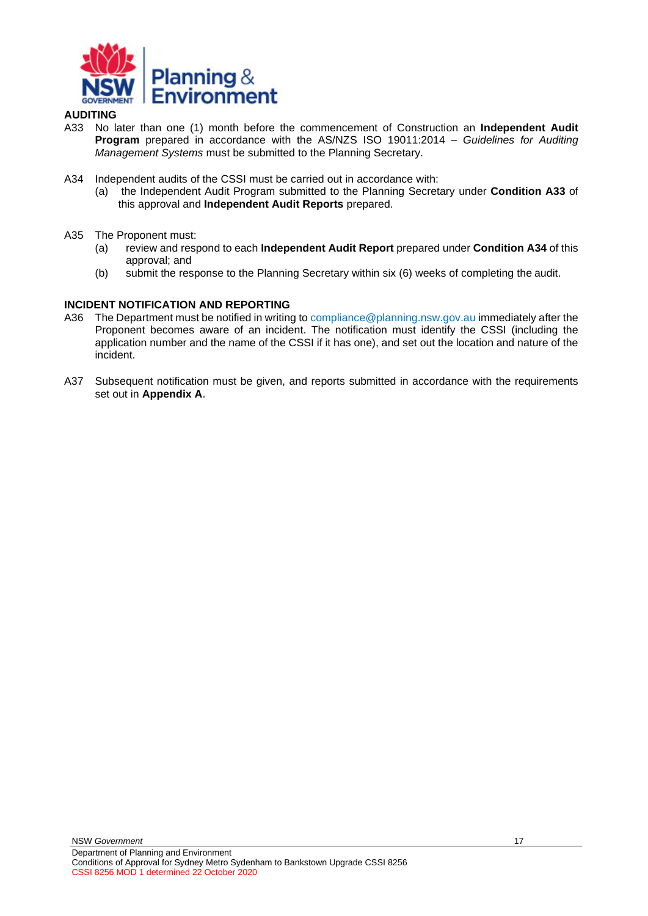

### <span id="page-16-0"></span>**AUDITING**

- <span id="page-16-2"></span>A33 No later than one (1) month before the commencement of Construction an **Independent Audit Program** prepared in accordance with the AS/NZS ISO 19011:2014 – *Guidelines for Auditing Management Systems* must be submitted to the Planning Secretary.
- A34 Independent audits of the CSSI must be carried out in accordance with:
	- (a) the Independent Audit Program submitted to the Planning Secretary under **Condition [A33](#page-16-2)** of this approval and **Independent Audit Reports** prepared.
- A35 The Proponent must:<br>(a) review and resp
	- (a) review and respond to each **Independent Audit Report** prepared under **Condition A34** of this approval; and
	- (b) submit the response to the Planning Secretary within six (6) weeks of completing the audit.

### <span id="page-16-1"></span>**INCIDENT NOTIFICATION AND REPORTING**

- <span id="page-16-3"></span>A36 The Department must be notified in writing to [compliance@planning.nsw.gov.au im](mailto:compliance@planning.nsw.gov.au)mediately after the Proponent becomes aware of an incident. The notification must identify the CSSI (including the application number and the name of the CSSI if it has one), and set out the location and nature of the incident.
- A37 Subsequent notification must be given, and reports submitted in accordance with the requirements set out in **Appendix A**.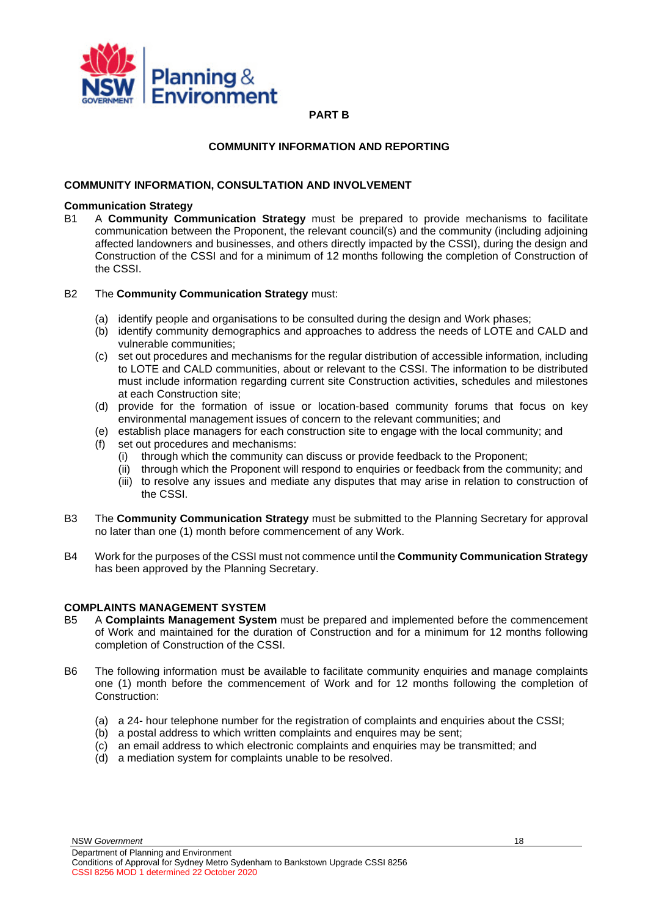<span id="page-17-0"></span>

**PART B**

### **COMMUNITY INFORMATION AND REPORTING**

### <span id="page-17-2"></span><span id="page-17-1"></span>**COMMUNITY INFORMATION, CONSULTATION AND INVOLVEMENT**

### **Communication Strategy**

B1 A **Community Communication Strategy** must be prepared to provide mechanisms to facilitate communication between the Proponent, the relevant council(s) and the community (including adjoining affected landowners and businesses, and others directly impacted by the CSSI), during the design and Construction of the CSSI and for a minimum of 12 months following the completion of Construction of the CSSI.

### B2 The **Community Communication Strategy** must:

- (a) identify people and organisations to be consulted during the design and Work phases;
- (b) identify community demographics and approaches to address the needs of LOTE and CALD and vulnerable communities;
- (c) set out procedures and mechanisms for the regular distribution of accessible information, including to LOTE and CALD communities, about or relevant to the CSSI. The information to be distributed must include information regarding current site Construction activities, schedules and milestones at each Construction site;
- (d) provide for the formation of issue or location-based community forums that focus on key environmental management issues of concern to the relevant communities; and
- (e) establish place managers for each construction site to engage with the local community; and
- <span id="page-17-6"></span>(f) set out procedures and mechanisms:
	- (i) through which the community can discuss or provide feedback to the Proponent;
	- (ii) through which the Proponent will respond to enquiries or feedback from the community; and
	- (iii) to resolve any issues and mediate any disputes that may arise in relation to construction of the CSSI.
- <span id="page-17-7"></span><span id="page-17-4"></span>B3 The **Community Communication Strategy** must be submitted to the Planning Secretary for approval no later than one (1) month before commencement of any Work.
- B4 Work for the purposes of the CSSI must not commence until the **Community Communication Strategy**  has been approved by the Planning Secretary.

### <span id="page-17-3"></span>**COMPLAINTS MANAGEMENT SYSTEM**

- <span id="page-17-5"></span>B5 A **Complaints Management System** must be prepared and implemented before the commencement of Work and maintained for the duration of Construction and for a minimum for 12 months following completion of Construction of the CSSI.
- B6 The following information must be available to facilitate community enquiries and manage complaints one (1) month before the commencement of Work and for 12 months following the completion of Construction:
	- (a) a 24- hour telephone number for the registration of complaints and enquiries about the CSSI;
	- (b) a postal address to which written complaints and enquires may be sent;
	- (c) an email address to which electronic complaints and enquiries may be transmitted; and
	- (d) a mediation system for complaints unable to be resolved.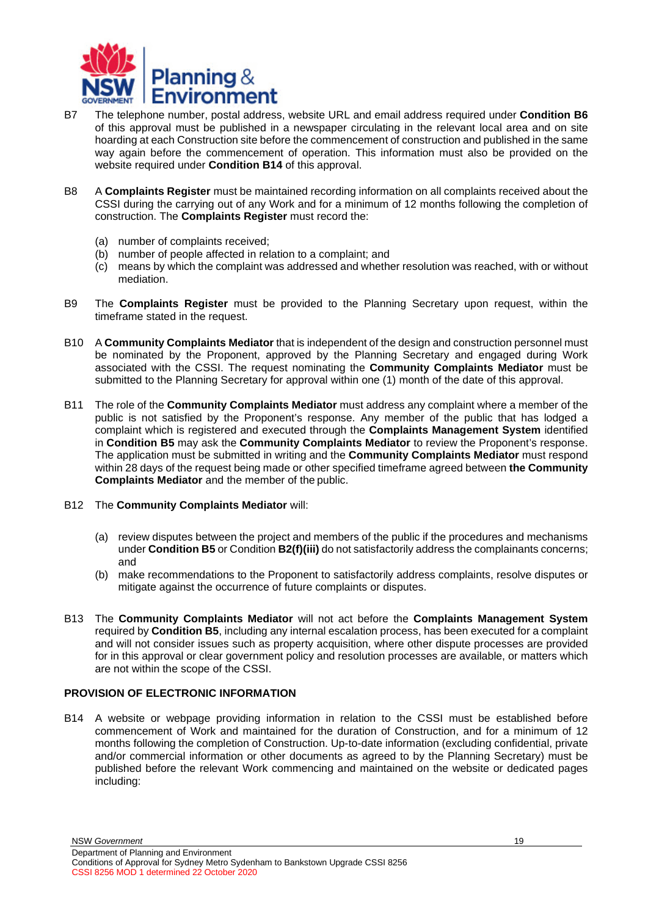

- B7 The telephone number, postal address, website URL and email address required under **Condition B6**  of this approval must be published in a newspaper circulating in the relevant local area and on site hoarding at each Construction site before the commencement of construction and published in the same way again before the commencement of operation. This information must also be provided on the website required under **Condition [B14](#page-18-2)** of this approval.
- B8 A **Complaints Register** must be maintained recording information on all complaints received about the CSSI during the carrying out of any Work and for a minimum of 12 months following the completion of construction. The **Complaints Register** must record the:
	- (a) number of complaints received;
	- (b) number of people affected in relation to a complaint; and
	- (c) means by which the complaint was addressed and whether resolution was reached, with or without mediation.
- <span id="page-18-1"></span>B9 The **Complaints Register** must be provided to the Planning Secretary upon request, within the timeframe stated in the request.
- B10 A **Community Complaints Mediator** that is independent of the design and construction personnel must be nominated by the Proponent, approved by the Planning Secretary and engaged during Work associated with the CSSI. The request nominating the **Community Complaints Mediator** must be submitted to the Planning Secretary for approval within one (1) month of the date of this approval.
- B11 The role of the **Community Complaints Mediator** must address any complaint where a member of the public is not satisfied by the Proponent's response. Any member of the public that has lodged a complaint which is registered and executed through the **Complaints Management System** identified in **Condition [B5](#page-17-5)** may ask the **Community Complaints Mediator** to review the Proponent's response. The application must be submitted in writing and the **Community Complaints Mediator** must respond within 28 days of the request being made or other specified timeframe agreed between **the Community Complaints Mediator** and the member of the public.
- B12 The **Community Complaints Mediator** will:
	- (a) review disputes between the project and members of the public if the procedures and mechanisms under **Condition [B5](#page-17-5)** or Condition **B[2\(f\)](#page-17-6)[\(iii\)](#page-17-7)** do not satisfactorily address the complainants concerns; and
	- (b) make recommendations to the Proponent to satisfactorily address complaints, resolve disputes or mitigate against the occurrence of future complaints or disputes.
- B13 The **Community Complaints Mediator** will not act before the **Complaints Management System**  required by **Condition B5**, including any internal escalation process, has been executed for a complaint and will not consider issues such as property acquisition, where other dispute processes are provided for in this approval or clear government policy and resolution processes are available, or matters which are not within the scope of the CSSI.

### <span id="page-18-0"></span>**PROVISION OF ELECTRONIC INFORMATION**

<span id="page-18-2"></span>B14 A website or webpage providing information in relation to the CSSI must be established before commencement of Work and maintained for the duration of Construction, and for a minimum of 12 months following the completion of Construction. Up-to-date information (excluding confidential, private and/or commercial information or other documents as agreed to by the Planning Secretary) must be published before the relevant Work commencing and maintained on the website or dedicated pages including: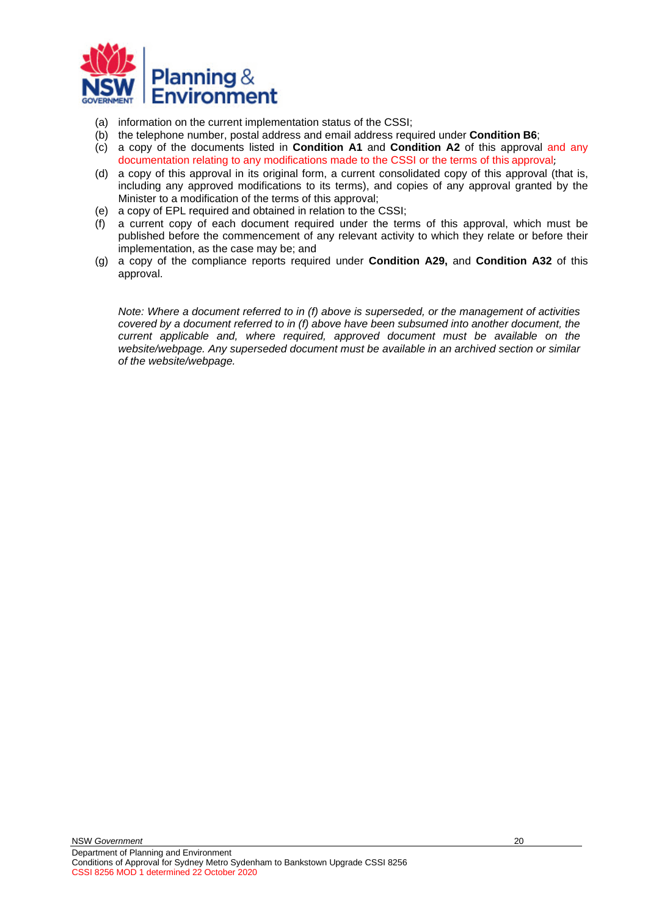

- (a) information on the current implementation status of the CSSI;
- (b) the telephone number, postal address and email address required under **Condition B6**;
- (c) a copy of the documents listed in **Condition A1** and **Condition [A2](#page-11-5)** of this approval and any documentation relating to any modifications made to the CSSI or the terms of this approval;
- (d) a copy of this approval in its original form, a current consolidated copy of this approval (that is, including any approved modifications to its terms), and copies of any approval granted by the Minister to a modification of the terms of this approval;
- (e) a copy of EPL required and obtained in relation to the CSSI;
- (f) a current copy of each document required under the terms of this approval, which must be published before the commencement of any relevant activity to which they relate or before their implementation, as the case may be; and
- (g) a copy of the compliance reports required under **Condition [A29,](#page-15-3)** and **Condition A32** of this approval.

*Note: Where a document referred to in (f) above is superseded, or the management of activities covered by a document referred to in (f) above have been subsumed into another document, the current applicable and, where required, approved document must be available on the website/webpage. Any superseded document must be available in an archived section or similar of the website/webpage.*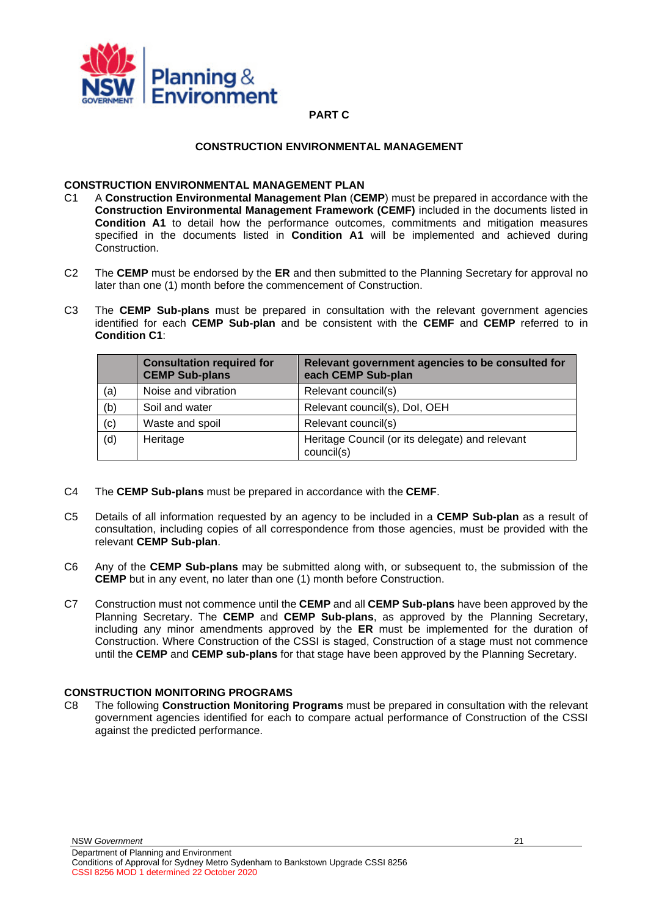<span id="page-20-0"></span>

### **PART C**

### **CONSTRUCTION ENVIRONMENTAL MANAGEMENT**

# <span id="page-20-2"></span><span id="page-20-1"></span>**CONSTRUCTION ENVIRONMENTAL MANAGEMENT PLAN**<br>C1 A Construction Environmental Management Plan (CE

- <span id="page-20-5"></span>C1 A **Construction Environmental Management Plan** (**CEMP**) must be prepared in accordance with the **Construction Environmental Management Framework (CEMF)** included in the documents listed in **Condition A1** to detail how the performance outcomes, commitments and mitigation measures specified in the documents listed in **Condition A1** will be implemented and achieved during Construction.
- C2 The **CEMP** must be endorsed by the **ER** and then submitted to the Planning Secretary for approval no later than one (1) month before the commencement of Construction.
- C3 The **CEMP Sub-plans** must be prepared in consultation with the relevant government agencies identified for each **CEMP Sub-plan** and be consistent with the **CEMF** and **CEMP** referred to in **Condition C1**:

|     | <b>Consultation required for</b><br><b>CEMP Sub-plans</b> | Relevant government agencies to be consulted for<br>each CEMP Sub-plan |
|-----|-----------------------------------------------------------|------------------------------------------------------------------------|
| (a) | Noise and vibration                                       | Relevant council(s)                                                    |
| (b) | Soil and water                                            | Relevant council(s), Dol, OEH                                          |
| (c) | Waste and spoil                                           | Relevant council(s)                                                    |
| (d) | Heritage                                                  | Heritage Council (or its delegate) and relevant<br>council(s)          |

- C4 The **CEMP Sub-plans** must be prepared in accordance with the **CEMF**.
- <span id="page-20-4"></span>C5 Details of all information requested by an agency to be included in a **CEMP Sub-plan** as a result of consultation, including copies of all correspondence from those agencies, must be provided with the relevant **CEMP Sub-plan**.
- C6 Any of the **CEMP Sub-plans** may be submitted along with, or subsequent to, the submission of the **CEMP** but in any event, no later than one (1) month before Construction.
- C7 Construction must not commence until the **CEMP** and all **CEMP Sub-plans** have been approved by the Planning Secretary. The **CEMP** and **CEMP Sub-plans**, as approved by the Planning Secretary, including any minor amendments approved by the **ER** must be implemented for the duration of Construction. Where Construction of the CSSI is staged, Construction of a stage must not commence until the **CEMP** and **CEMP sub-plans** for that stage have been approved by the Planning Secretary.

### <span id="page-20-3"></span>**CONSTRUCTION MONITORING PROGRAMS**

<span id="page-20-6"></span>C8 The following **Construction Monitoring Programs** must be prepared in consultation with the relevant government agencies identified for each to compare actual performance of Construction of the CSSI against the predicted performance.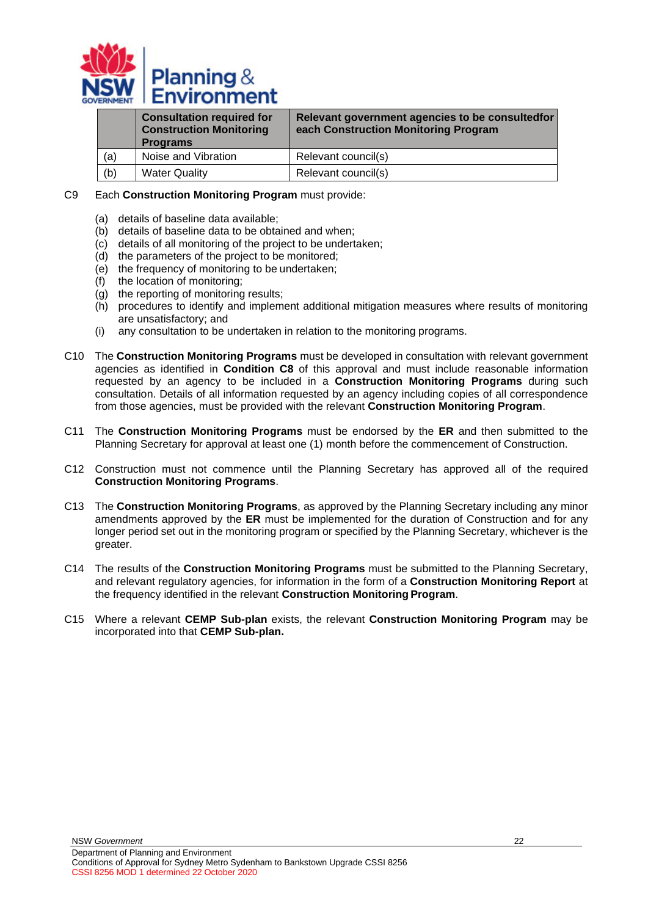

|     | <b>Consultation required for</b><br><b>Construction Monitoring</b><br><b>Programs</b> | Relevant government agencies to be consulted for<br>each Construction Monitoring Program |
|-----|---------------------------------------------------------------------------------------|------------------------------------------------------------------------------------------|
| (a) | Noise and Vibration                                                                   | Relevant council(s)                                                                      |
| (b) | <b>Water Quality</b>                                                                  | Relevant council(s)                                                                      |

### C9 Each **Construction Monitoring Program** must provide:

- (a) details of baseline data available;
- (b) details of baseline data to be obtained and when;
- (c) details of all monitoring of the project to be undertaken;
- (d) the parameters of the project to be monitored;
- (e) the frequency of monitoring to be undertaken;
- (f) the location of monitoring;
- (g) the reporting of monitoring results;
- (h) procedures to identify and implement additional mitigation measures where results of monitoring are unsatisfactory; and
- <span id="page-21-0"></span>(i) any consultation to be undertaken in relation to the monitoring programs.
- C10 The **Construction Monitoring Programs** must be developed in consultation with relevant government agencies as identified in **Condition [C8](#page-20-6)** of this approval and must include reasonable information requested by an agency to be included in a **Construction Monitoring Programs** during such consultation. Details of all information requested by an agency including copies of all correspondence from those agencies, must be provided with the relevant **Construction Monitoring Program**.
- C11 The **Construction Monitoring Programs** must be endorsed by the **ER** and then submitted to the Planning Secretary for approval at least one (1) month before the commencement of Construction.
- C12 Construction must not commence until the Planning Secretary has approved all of the required **Construction Monitoring Programs**.
- C13 The **Construction Monitoring Programs**, as approved by the Planning Secretary including any minor amendments approved by the **ER** must be implemented for the duration of Construction and for any longer period set out in the monitoring program or specified by the Planning Secretary, whichever is the greater.
- C14 The results of the **Construction Monitoring Programs** must be submitted to the Planning Secretary, and relevant regulatory agencies, for information in the form of a **Construction Monitoring Report** at the frequency identified in the relevant **Construction Monitoring Program**.
- C15 Where a relevant **CEMP Sub-plan** exists, the relevant **Construction Monitoring Program** may be incorporated into that **CEMP Sub-plan.**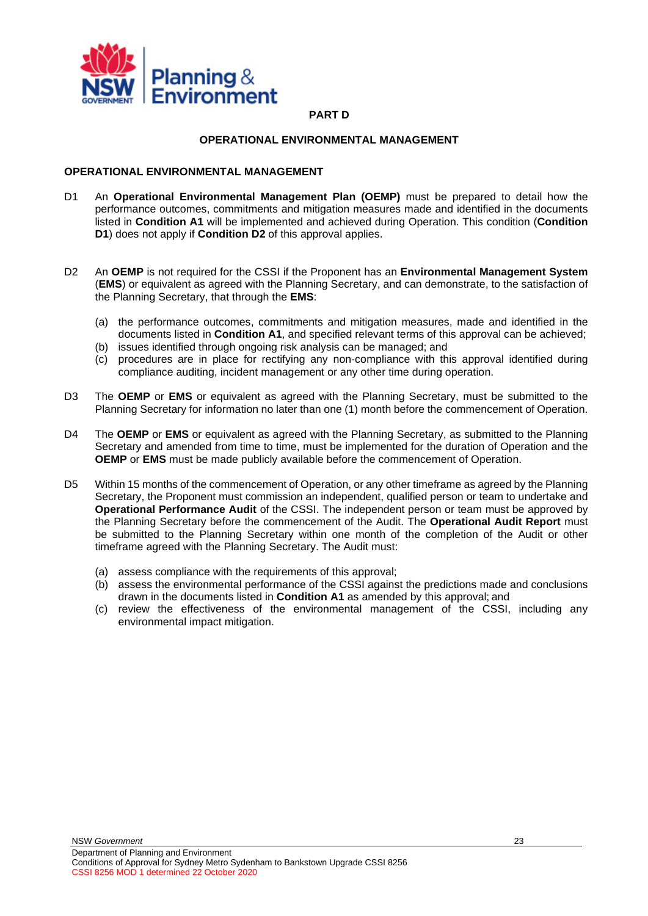

### **PART D**

#### **OPERATIONAL ENVIRONMENTAL MANAGEMENT**

### <span id="page-22-2"></span><span id="page-22-1"></span><span id="page-22-0"></span>**OPERATIONAL ENVIRONMENTAL MANAGEMENT**

- D1 An **Operational Environmental Management Plan (OEMP)** must be prepared to detail how the performance outcomes, commitments and mitigation measures made and identified in the documents listed in **Condition A1** will be implemented and achieved during Operation. This condition (**Condition [D1](#page-22-2)**) does not apply if **Condition [D2](#page-22-3)** of this approval applies.
- <span id="page-22-3"></span>D2 An **OEMP** is not required for the CSSI if the Proponent has an **Environmental Management System**  (**EMS**) or equivalent as agreed with the Planning Secretary, and can demonstrate, to the satisfaction of the Planning Secretary, that through the **EMS**:
	- (a) the performance outcomes, commitments and mitigation measures, made and identified in the documents listed in **Condition A1**, and specified relevant terms of this approval can be achieved;
	- (b) issues identified through ongoing risk analysis can be managed; and
	- (c) procedures are in place for rectifying any non-compliance with this approval identified during compliance auditing, incident management or any other time during operation.
- D3 The **OEMP** or **EMS** or equivalent as agreed with the Planning Secretary, must be submitted to the Planning Secretary for information no later than one (1) month before the commencement of Operation.
- D4 The **OEMP** or **EMS** or equivalent as agreed with the Planning Secretary, as submitted to the Planning Secretary and amended from time to time, must be implemented for the duration of Operation and the **OEMP** or **EMS** must be made publicly available before the commencement of Operation.
- D5 Within 15 months of the commencement of Operation, or any other timeframe as agreed by the Planning Secretary, the Proponent must commission an independent, qualified person or team to undertake and **Operational Performance Audit** of the CSSI. The independent person or team must be approved by the Planning Secretary before the commencement of the Audit. The **Operational Audit Report** must be submitted to the Planning Secretary within one month of the completion of the Audit or other timeframe agreed with the Planning Secretary. The Audit must:
	- (a) assess compliance with the requirements of this approval;
	- (b) assess the environmental performance of the CSSI against the predictions made and conclusions drawn in the documents listed in **Condition A1** as amended by this approval; and
	- (c) review the effectiveness of the environmental management of the CSSI, including any environmental impact mitigation.

NSW *Government*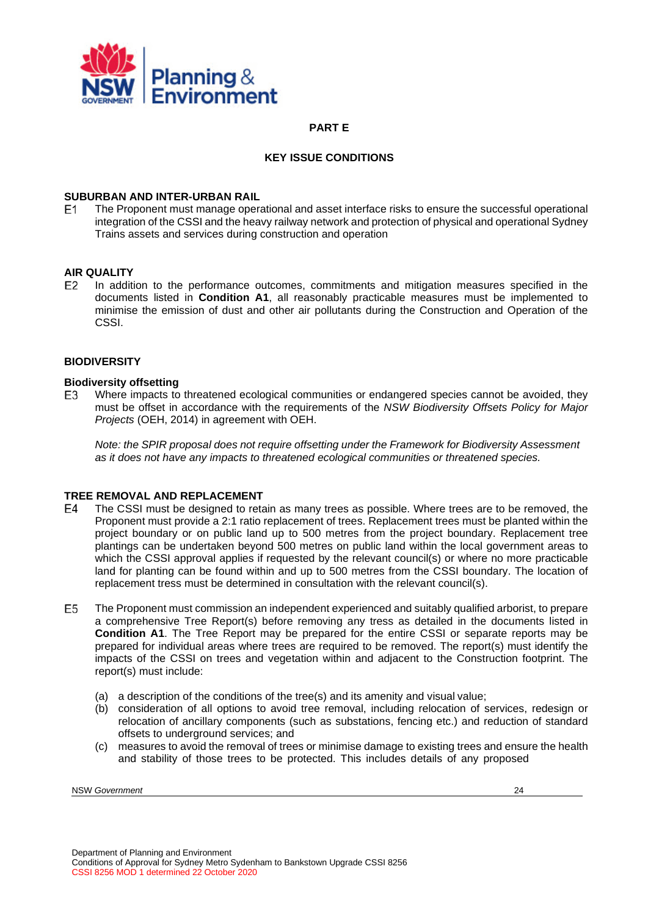

### **PART E**

### **KEY ISSUE CONDITIONS**

# <span id="page-23-2"></span><span id="page-23-1"></span><span id="page-23-0"></span>**SUBURBAN AND INTER-URBAN RAIL**<br>E1 The Proponent must manage opera

The Proponent must manage operational and asset interface risks to ensure the successful operational integration of the CSSI and the heavy railway network and protection of physical and operational Sydney Trains assets and services during construction and operation

## <span id="page-23-3"></span>**AIR QUALITY**<br>E2 In additi

In addition to the performance outcomes, commitments and mitigation measures specified in the documents listed in **Condition A1**, all reasonably practicable measures must be implemented to minimise the emission of dust and other air pollutants during the Construction and Operation of the CSSI.

#### <span id="page-23-4"></span>**BIODIVERSITY**

## **Biodiversity offsetting**<br>E3 Where impacts to

Where impacts to threatened ecological communities or endangered species cannot be avoided, they must be offset in accordance with the requirements of the *NSW Biodiversity Offsets Policy for Major Projects* (OEH, 2014) in agreement with OEH.

*Note: the SPIR proposal does not require offsetting under the Framework for Biodiversity Assessment as it does not have any impacts to threatened ecological communities or threatened species.*

## <span id="page-23-5"></span>**TREE REMOVAL AND REPLACEMENT**<br>E4 The CSSI must be designed to reta

- The CSSI must be designed to retain as many trees as possible. Where trees are to be removed, the Proponent must provide a 2:1 ratio replacement of trees. Replacement trees must be planted within the project boundary or on public land up to 500 metres from the project boundary. Replacement tree plantings can be undertaken beyond 500 metres on public land within the local government areas to which the CSSI approval applies if requested by the relevant council(s) or where no more practicable land for planting can be found within and up to 500 metres from the CSSI boundary. The location of replacement tress must be determined in consultation with the relevant council(s).
- E<sub>5</sub> The Proponent must commission an independent experienced and suitably qualified arborist, to prepare a comprehensive Tree Report(s) before removing any tress as detailed in the documents listed in **Condition A1**. The Tree Report may be prepared for the entire CSSI or separate reports may be prepared for individual areas where trees are required to be removed. The report(s) must identify the impacts of the CSSI on trees and vegetation within and adjacent to the Construction footprint. The report(s) must include:
	- (a) a description of the conditions of the tree(s) and its amenity and visual value;
	- (b) consideration of all options to avoid tree removal, including relocation of services, redesign or relocation of ancillary components (such as substations, fencing etc.) and reduction of standard offsets to underground services; and
	- (c) measures to avoid the removal of trees or minimise damage to existing trees and ensure the health and stability of those trees to be protected. This includes details of any proposed

NSW *Government* 24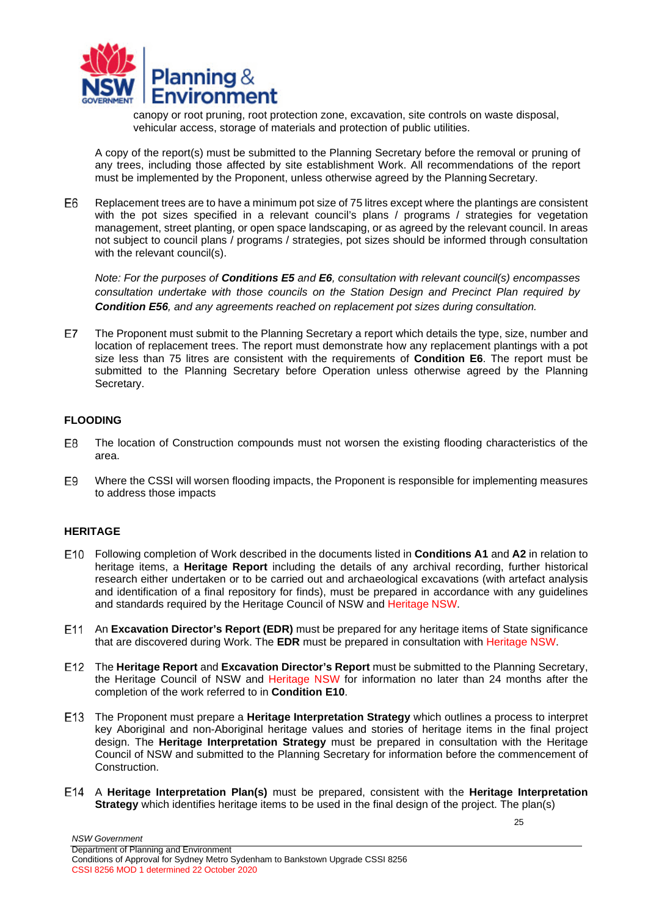

canopy or root pruning, root protection zone, excavation, site controls on waste disposal, vehicular access, storage of materials and protection of public utilities.

A copy of the report(s) must be submitted to the Planning Secretary before the removal or pruning of any trees, including those affected by site establishment Work. All recommendations of the report must be implemented by the Proponent, unless otherwise agreed by the Planning Secretary.

F<sub>6</sub> Replacement trees are to have a minimum pot size of 75 litres except where the plantings are consistent with the pot sizes specified in a relevant council's plans / programs / strategies for vegetation management, street planting, or open space landscaping, or as agreed by the relevant council. In areas not subject to council plans / programs / strategies, pot sizes should be informed through consultation with the relevant council(s).

*Note: For the purposes of Conditions E5 and E6, consultation with relevant council(s) encompasses consultation undertake with those councils on the Station Design and Precinct Plan required by Condition E56, and any agreements reached on replacement pot sizes during consultation.*

E7 The Proponent must submit to the Planning Secretary a report which details the type, size, number and location of replacement trees. The report must demonstrate how any replacement plantings with a pot size less than 75 litres are consistent with the requirements of **Condition E6**. The report must be submitted to the Planning Secretary before Operation unless otherwise agreed by the Planning Secretary.

### <span id="page-24-0"></span>**FLOODING**

- E8 The location of Construction compounds must not worsen the existing flooding characteristics of the area.
- E9 Where the CSSI will worsen flooding impacts, the Proponent is responsible for implementing measures to address those impacts

### <span id="page-24-1"></span>**HERITAGE**

- <span id="page-24-2"></span>Following completion of Work described in the documents listed in **Conditions A1** and **A2** in relation to heritage items, a **Heritage Report** including the details of any archival recording, further historical research either undertaken or to be carried out and archaeological excavations (with artefact analysis and identification of a final repository for finds), must be prepared in accordance with any guidelines and standards required by the Heritage Council of NSW and Heritage NSW.
- An **Excavation Director's Report (EDR)** must be prepared for any heritage items of State significance that are discovered during Work. The **EDR** must be prepared in consultation with Heritage NSW.
- The **Heritage Report** and **Excavation Director's Report** must be submitted to the Planning Secretary, the Heritage Council of NSW and Heritage NSW for information no later than 24 months after the completion of the work referred to in **Condition [E10](#page-24-2)**.
- The Proponent must prepare a **Heritage Interpretation Strategy** which outlines a process to interpret key Aboriginal and non-Aboriginal heritage values and stories of heritage items in the final project design. The **Heritage Interpretation Strategy** must be prepared in consultation with the Heritage Council of NSW and submitted to the Planning Secretary for information before the commencement of Construction.
- A **Heritage Interpretation Plan(s)** must be prepared, consistent with the **Heritage Interpretation Strategy** which identifies heritage items to be used in the final design of the project. The plan(s)

25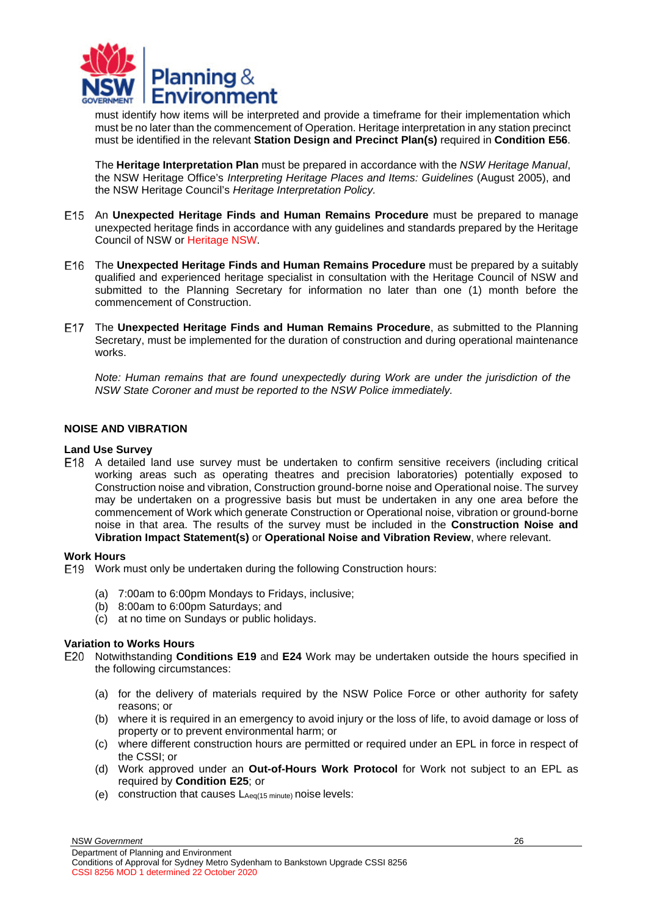

must identify how items will be interpreted and provide a timeframe for their implementation which must be no later than the commencement of Operation. Heritage interpretation in any station precinct must be identified in the relevant **Station Design and Precinct Plan(s)** required in **Condition E56**.

The **Heritage Interpretation Plan** must be prepared in accordance with the *NSW Heritage Manual*, the NSW Heritage Office's *Interpreting Heritage Places and Items: Guidelines* (August 2005), and the NSW Heritage Council's *Heritage Interpretation Policy.*

- An **Unexpected Heritage Finds and Human Remains Procedure** must be prepared to manage unexpected heritage finds in accordance with any guidelines and standards prepared by the Heritage Council of NSW or Heritage NSW.
- The **Unexpected Heritage Finds and Human Remains Procedure** must be prepared by a suitably qualified and experienced heritage specialist in consultation with the Heritage Council of NSW and submitted to the Planning Secretary for information no later than one (1) month before the commencement of Construction.
- The **Unexpected Heritage Finds and Human Remains Procedure**, as submitted to the Planning Secretary, must be implemented for the duration of construction and during operational maintenance works.

*Note: Human remains that are found unexpectedly during Work are under the jurisdiction of the NSW State Coroner and must be reported to the NSW Police immediately.*

### <span id="page-25-0"></span>**NOISE AND VIBRATION**

### **Land Use Survey**

A detailed land use survey must be undertaken to confirm sensitive receivers (including critical working areas such as operating theatres and precision laboratories) potentially exposed to Construction noise and vibration, Construction ground-borne noise and Operational noise. The survey may be undertaken on a progressive basis but must be undertaken in any one area before the commencement of Work which generate Construction or Operational noise, vibration or ground-borne noise in that area. The results of the survey must be included in the **Construction Noise and Vibration Impact Statement(s)** or **Operational Noise and Vibration Review**, where relevant.

### **Work Hours**

<span id="page-25-1"></span>Work must only be undertaken during the following Construction hours:

- (a) 7:00am to 6:00pm Mondays to Fridays, inclusive;
- (b) 8:00am to 6:00pm Saturdays; and
- <span id="page-25-3"></span>(c) at no time on Sundays or public holidays.

### **Variation to Works Hours**

- <span id="page-25-2"></span>Notwithstanding **Conditions [E19](#page-25-1)** and **[E24](#page-27-1)** Work may be undertaken outside the hours specified in the following circumstances:
	- (a) for the delivery of materials required by the NSW Police Force or other authority for safety reasons; or
	- (b) where it is required in an emergency to avoid injury or the loss of life, to avoid damage or loss of property or to prevent environmental harm; or
	- (c) where different construction hours are permitted or required under an EPL in force in respect of the CSSI; or
	- (d) Work approved under an **Out-of-Hours Work Protocol** for Work not subject to an EPL as required by **Condition [E25](#page-27-0)**; or
	- (e) construction that causes  $L_{Aeq(15 minute)}$  noise levels:

NSW *Government* Department of Planning and Environment Conditions of Approval for Sydney Metro Sydenham to Bankstown Upgrade CSSI 8256 CSSI 8256 MOD 1 determined 22 October 2020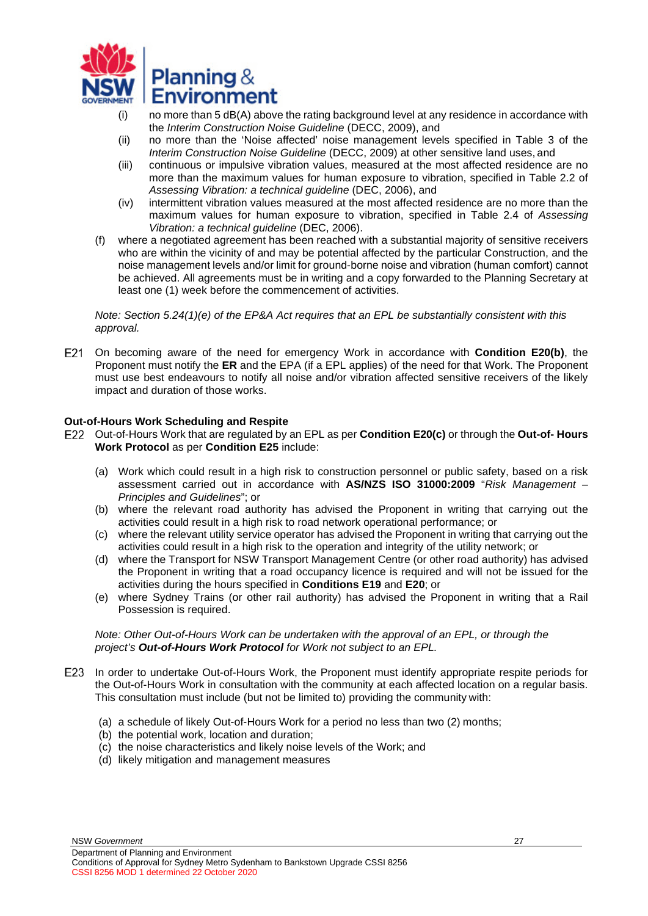

- (i) no more than 5 dB(A) above the rating background level at any residence in accordance with the *Interim Construction Noise Guideline* (DECC, 2009), and
- (ii) no more than the 'Noise affected' noise management levels specified in Table 3 of the *Interim Construction Noise Guideline* (DECC, 2009) at other sensitive land uses, and
- (iii) continuous or impulsive vibration values, measured at the most affected residence are no more than the maximum values for human exposure to vibration, specified in Table 2.2 of *Assessing Vibration: a technical guideline* (DEC, 2006), and
- (iv) intermittent vibration values measured at the most affected residence are no more than the maximum values for human exposure to vibration, specified in Table 2.4 of *Assessing Vibration: a technical guideline* (DEC, 2006).
- (f) where a negotiated agreement has been reached with a substantial majority of sensitive receivers who are within the vicinity of and may be potential affected by the particular Construction, and the noise management levels and/or limit for ground-borne noise and vibration (human comfort) cannot be achieved. All agreements must be in writing and a copy forwarded to the Planning Secretary at least one (1) week before the commencement of activities.

*Note: Section 5.24(1)(e) of the EP&A Act requires that an EPL be substantially consistent with this approval.*

On becoming aware of the need for emergency Work in accordance with **Condition [E20](#page-25-2)[\(b\)](#page-25-3)**, the Proponent must notify the **ER** and the EPA (if a EPL applies) of the need for that Work. The Proponent must use best endeavours to notify all noise and/or vibration affected sensitive receivers of the likely impact and duration of those works.

### **Out-of-Hours Work Scheduling and Respite**

- Out-of-Hours Work that are regulated by an EPL as per **Condition E20(c)** or through the **Out-of- Hours Work Protocol** as per **Condition E25** include:
	- (a) Work which could result in a high risk to construction personnel or public safety, based on a risk assessment carried out in accordance with **AS/NZS ISO 31000:2009** "*Risk Management – Principles and Guidelines*"; or
	- (b) where the relevant road authority has advised the Proponent in writing that carrying out the activities could result in a high risk to road network operational performance; or
	- (c) where the relevant utility service operator has advised the Proponent in writing that carrying out the activities could result in a high risk to the operation and integrity of the utility network; or
	- (d) where the Transport for NSW Transport Management Centre (or other road authority) has advised the Proponent in writing that a road occupancy licence is required and will not be issued for the activities during the hours specified in **Conditions E19** and **E20**; or
	- (e) where Sydney Trains (or other rail authority) has advised the Proponent in writing that a Rail Possession is required.

### *Note: Other Out-of-Hours Work can be undertaken with the approval of an EPL, or through the project's Out-of-Hours Work Protocol for Work not subject to an EPL.*

- E23 In order to undertake Out-of-Hours Work, the Proponent must identify appropriate respite periods for the Out-of-Hours Work in consultation with the community at each affected location on a regular basis. This consultation must include (but not be limited to) providing the community with:
	- (a) a schedule of likely Out-of-Hours Work for a period no less than two (2) months;
	- (b) the potential work, location and duration;
	- (c) the noise characteristics and likely noise levels of the Work; and
	- (d) likely mitigation and management measures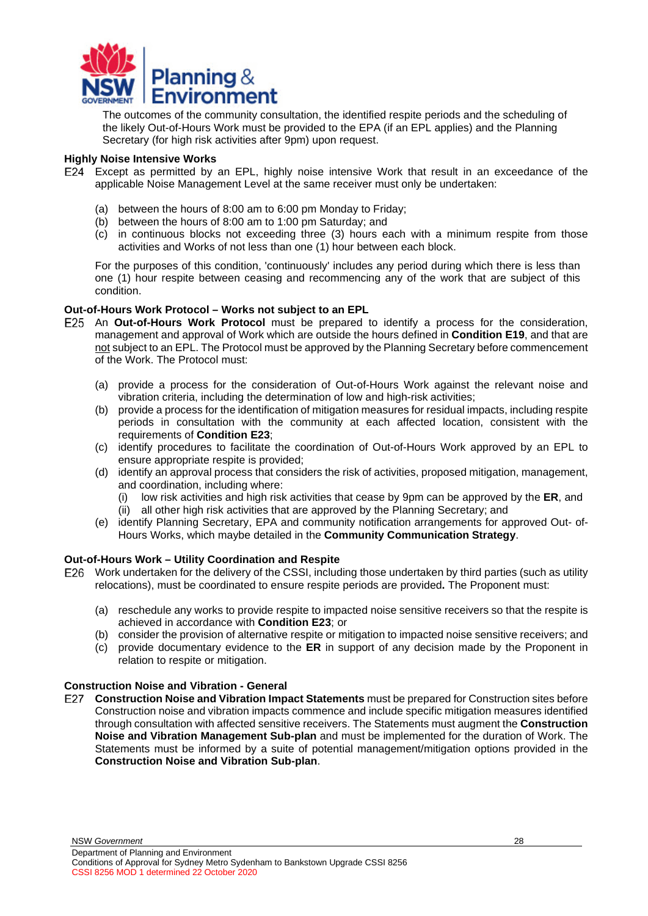

The outcomes of the community consultation, the identified respite periods and the scheduling of the likely Out-of-Hours Work must be provided to the EPA (if an EPL applies) and the Planning Secretary (for high risk activities after 9pm) upon request.

### **Highly Noise Intensive Works**

- <span id="page-27-1"></span>Except as permitted by an EPL, highly noise intensive Work that result in an exceedance of the applicable Noise Management Level at the same receiver must only be undertaken:
	- (a) between the hours of 8:00 am to 6:00 pm Monday to Friday;
	- (b) between the hours of 8:00 am to 1:00 pm Saturday; and
	- (c) in continuous blocks not exceeding three (3) hours each with a minimum respite from those activities and Works of not less than one (1) hour between each block.

For the purposes of this condition, 'continuously' includes any period during which there is less than one (1) hour respite between ceasing and recommencing any of the work that are subject of this condition.

### **Out-of-Hours Work Protocol – Works not subject to an EPL**

- <span id="page-27-0"></span>An **Out-of-Hours Work Protocol** must be prepared to identify a process for the consideration, management and approval of Work which are outside the hours defined in **Condition [E19](#page-25-1)**, and that are not subject to an EPL. The Protocol must be approved by the Planning Secretary before commencement of the Work. The Protocol must:
	- (a) provide a process for the consideration of Out-of-Hours Work against the relevant noise and vibration criteria, including the determination of low and high-risk activities;
	- (b) provide a process for the identification of mitigation measures for residual impacts, including respite periods in consultation with the community at each affected location, consistent with the requirements of **Condition E23**;
	- (c) identify procedures to facilitate the coordination of Out-of-Hours Work approved by an EPL to ensure appropriate respite is provided;
	- (d) identify an approval process that considers the risk of activities, proposed mitigation, management, and coordination, including where:
		- (i) low risk activities and high risk activities that cease by 9pm can be approved by the **ER**, and
		- (ii) all other high risk activities that are approved by the Planning Secretary; and
	- (e) identify Planning Secretary, EPA and community notification arrangements for approved Out- of-Hours Works, which maybe detailed in the **Community Communication Strategy**.

### **Out-of-Hours Work – Utility Coordination and Respite**

- Work undertaken for the delivery of the CSSI, including those undertaken by third parties (such as utility relocations), must be coordinated to ensure respite periods are provided**.** The Proponent must:
	- (a) reschedule any works to provide respite to impacted noise sensitive receivers so that the respite is achieved in accordance with **Condition E23**; or
	- (b) consider the provision of alternative respite or mitigation to impacted noise sensitive receivers; and
	- (c) provide documentary evidence to the **ER** in support of any decision made by the Proponent in relation to respite or mitigation.

### **Construction Noise and Vibration - General**

**Construction Noise and Vibration Impact Statements** must be prepared for Construction sites before Construction noise and vibration impacts commence and include specific mitigation measures identified through consultation with affected sensitive receivers. The Statements must augment the **Construction Noise and Vibration Management Sub-plan** and must be implemented for the duration of Work. The Statements must be informed by a suite of potential management/mitigation options provided in the **Construction Noise and Vibration Sub-plan**.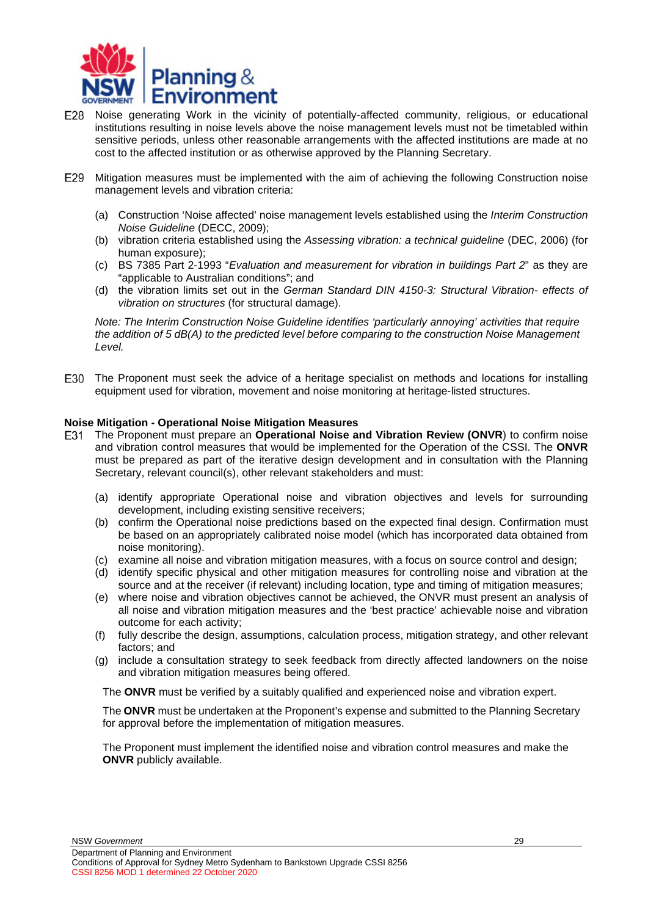

- E28 Noise generating Work in the vicinity of potentially-affected community, religious, or educational institutions resulting in noise levels above the noise management levels must not be timetabled within sensitive periods, unless other reasonable arrangements with the affected institutions are made at no cost to the affected institution or as otherwise approved by the Planning Secretary.
- Mitigation measures must be implemented with the aim of achieving the following Construction noise management levels and vibration criteria:
	- (a) Construction 'Noise affected' noise management levels established using the *Interim Construction Noise Guideline* (DECC, 2009);
	- (b) vibration criteria established using the *Assessing vibration: a technical guideline* (DEC, 2006) (for human exposure);
	- (c) BS 7385 Part 2-1993 "*Evaluation and measurement for vibration in buildings Part 2*" as they are "applicable to Australian conditions"; and
	- (d) the vibration limits set out in the *German Standard DIN 4150-3: Structural Vibration- effects of vibration on structures* (for structural damage).

*Note: The Interim Construction Noise Guideline identifies 'particularly annoying' activities that require the addition of 5 dB(A) to the predicted level before comparing to the construction Noise Management Level.*

The Proponent must seek the advice of a heritage specialist on methods and locations for installing equipment used for vibration, movement and noise monitoring at heritage-listed structures.

### **Noise Mitigation - Operational Noise Mitigation Measures**

- <span id="page-28-0"></span>The Proponent must prepare an **Operational Noise and Vibration Review (ONVR**) to confirm noise and vibration control measures that would be implemented for the Operation of the CSSI. The **ONVR**  must be prepared as part of the iterative design development and in consultation with the Planning Secretary, relevant council(s), other relevant stakeholders and must:
	- (a) identify appropriate Operational noise and vibration objectives and levels for surrounding development, including existing sensitive receivers;
	- (b) confirm the Operational noise predictions based on the expected final design. Confirmation must be based on an appropriately calibrated noise model (which has incorporated data obtained from noise monitoring).
	- (c) examine all noise and vibration mitigation measures, with a focus on source control and design;
	- (d) identify specific physical and other mitigation measures for controlling noise and vibration at the source and at the receiver (if relevant) including location, type and timing of mitigation measures;
	- (e) where noise and vibration objectives cannot be achieved, the ONVR must present an analysis of all noise and vibration mitigation measures and the 'best practice' achievable noise and vibration outcome for each activity;
	- (f) fully describe the design, assumptions, calculation process, mitigation strategy, and other relevant factors; and
	- (g) include a consultation strategy to seek feedback from directly affected landowners on the noise and vibration mitigation measures being offered.

The **ONVR** must be verified by a suitably qualified and experienced noise and vibration expert.

The **ONVR** must be undertaken at the Proponent's expense and submitted to the Planning Secretary for approval before the implementation of mitigation measures.

The Proponent must implement the identified noise and vibration control measures and make the **ONVR** publicly available.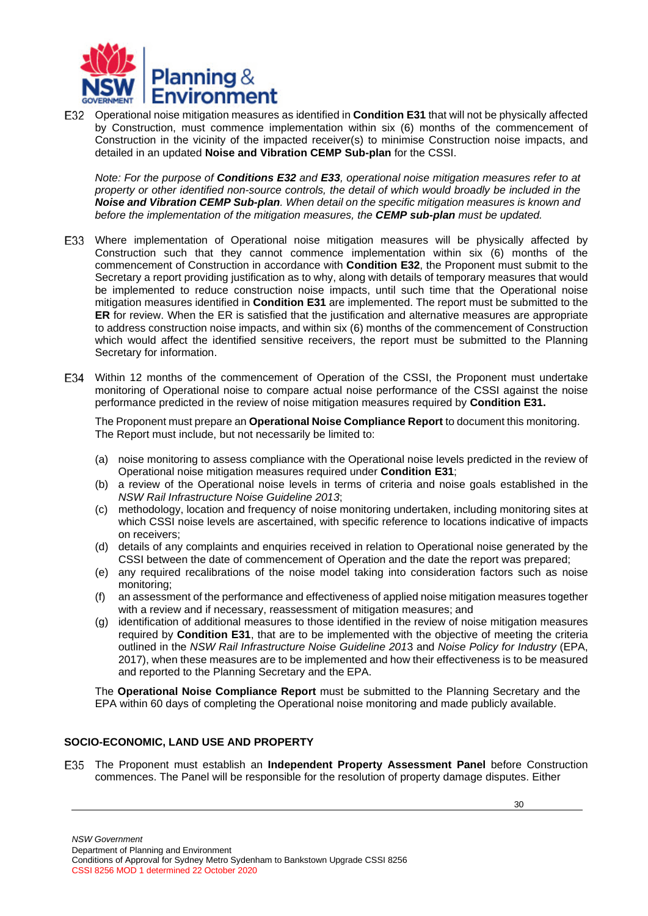

<span id="page-29-3"></span>Operational noise mitigation measures as identified in **Condition [E31](#page-28-0)** that will not be physically affected by Construction, must commence implementation within six (6) months of the commencement of Construction in the vicinity of the impacted receiver(s) to minimise Construction noise impacts, and detailed in an updated **Noise and Vibration CEMP Sub-plan** for the CSSI.

*Note: For the purpose of Conditions E32 and E33, operational noise mitigation measures refer to at property or other identified non-source controls, the detail of which would broadly be included in the Noise and Vibration CEMP Sub-plan. When detail on the specific mitigation measures is known and before the implementation of the mitigation measures, the CEMP sub-plan must be updated.*

- <span id="page-29-1"></span>Where implementation of Operational noise mitigation measures will be physically affected by Construction such that they cannot commence implementation within six (6) months of the commencement of Construction in accordance with **Condition [E32](#page-29-3)**, the Proponent must submit to the Secretary a report providing justification as to why, along with details of temporary measures that would be implemented to reduce construction noise impacts, until such time that the Operational noise mitigation measures identified in **Condition [E31](#page-28-0)** are implemented. The report must be submitted to the **ER** for review. When the ER is satisfied that the justification and alternative measures are appropriate to address construction noise impacts, and within six (6) months of the commencement of Construction which would affect the identified sensitive receivers, the report must be submitted to the Planning Secretary for information.
- Within 12 months of the commencement of Operation of the CSSI, the Proponent must undertake monitoring of Operational noise to compare actual noise performance of the CSSI against the noise performance predicted in the review of noise mitigation measures required by **Condition [E31.](#page-28-0)**

<span id="page-29-2"></span>The Proponent must prepare an **Operational Noise Compliance Report** to document this monitoring. The Report must include, but not necessarily be limited to:

- (a) noise monitoring to assess compliance with the Operational noise levels predicted in the review of Operational noise mitigation measures required under **Condition [E31](#page-28-0)**;
- (b) a review of the Operational noise levels in terms of criteria and noise goals established in the *NSW Rail Infrastructure Noise Guideline 2013*;
- (c) methodology, location and frequency of noise monitoring undertaken, including monitoring sites at which CSSI noise levels are ascertained, with specific reference to locations indicative of impacts on receivers;
- (d) details of any complaints and enquiries received in relation to Operational noise generated by the CSSI between the date of commencement of Operation and the date the report was prepared;
- (e) any required recalibrations of the noise model taking into consideration factors such as noise monitoring;
- (f) an assessment of the performance and effectiveness of applied noise mitigation measures together with a review and if necessary, reassessment of mitigation measures; and
- (g) identification of additional measures to those identified in the review of noise mitigation measures required by **Condition [E31](#page-28-0)**, that are to be implemented with the objective of meeting the criteria outlined in the *NSW Rail Infrastructure Noise Guideline 201*3 and *Noise Policy for Industry* (EPA, 2017), when these measures are to be implemented and how their effectiveness is to be measured and reported to the Planning Secretary and the EPA.

The **Operational Noise Compliance Report** must be submitted to the Planning Secretary and the EPA within 60 days of completing the Operational noise monitoring and made publicly available.

### <span id="page-29-0"></span>**SOCIO-ECONOMIC, LAND USE AND PROPERTY**

The Proponent must establish an **Independent Property Assessment Panel** before Construction commences. The Panel will be responsible for the resolution of property damage disputes. Either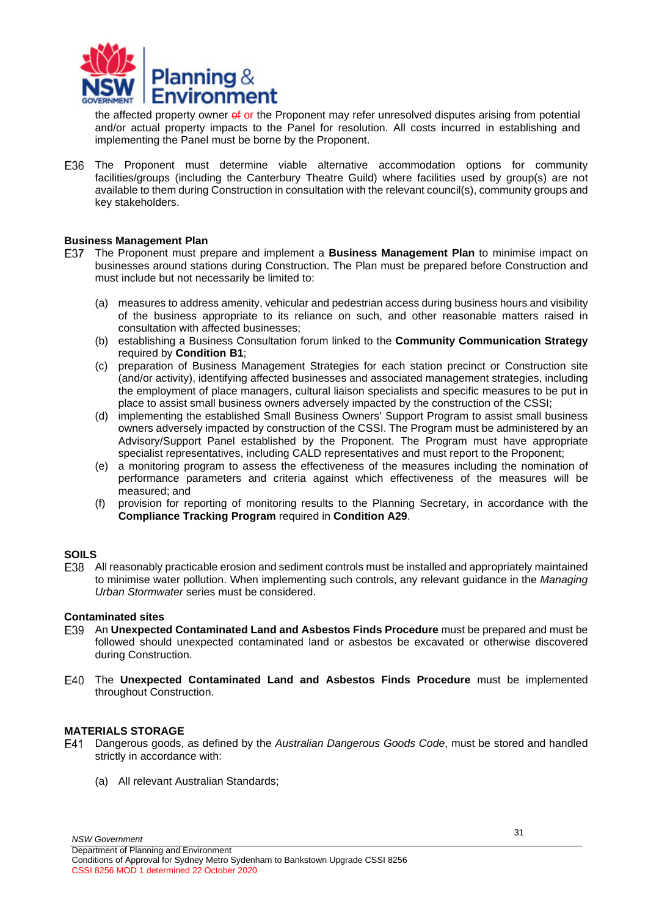

the affected property owner of or the Proponent may refer unresolved disputes arising from potential and/or actual property impacts to the Panel for resolution. All costs incurred in establishing and implementing the Panel must be borne by the Proponent.

The Proponent must determine viable alternative accommodation options for community facilities/groups (including the Canterbury Theatre Guild) where facilities used by group(s) are not available to them during Construction in consultation with the relevant council(s), community groups and key stakeholders.

### **Business Management Plan**

- The Proponent must prepare and implement a **Business Management Plan** to minimise impact on businesses around stations during Construction. The Plan must be prepared before Construction and must include but not necessarily be limited to:
	- (a) measures to address amenity, vehicular and pedestrian access during business hours and visibility of the business appropriate to its reliance on such, and other reasonable matters raised in consultation with affected businesses;
	- (b) establishing a Business Consultation forum linked to the **Community Communication Strategy**  required by **Condition B1**;
	- (c) preparation of Business Management Strategies for each station precinct or Construction site (and/or activity), identifying affected businesses and associated management strategies, including the employment of place managers, cultural liaison specialists and specific measures to be put in place to assist small business owners adversely impacted by the construction of the CSSI;
	- (d) implementing the established Small Business Owners' Support Program to assist small business owners adversely impacted by construction of the CSSI. The Program must be administered by an Advisory/Support Panel established by the Proponent. The Program must have appropriate specialist representatives, including CALD representatives and must report to the Proponent;
	- (e) a monitoring program to assess the effectiveness of the measures including the nomination of performance parameters and criteria against which effectiveness of the measures will be measured; and
	- (f) provision for reporting of monitoring results to the Planning Secretary, in accordance with the **Compliance Tracking Program** required in **Condition A29**.

### <span id="page-30-0"></span>**SOILS**

All reasonably practicable erosion and sediment controls must be installed and appropriately maintained to minimise water pollution. When implementing such controls, any relevant guidance in the *Managing Urban Stormwater* series must be considered.

### **Contaminated sites**

- An **Unexpected Contaminated Land and Asbestos Finds Procedure** must be prepared and must be followed should unexpected contaminated land or asbestos be excavated or otherwise discovered during Construction.
- The **Unexpected Contaminated Land and Asbestos Finds Procedure** must be implemented throughout Construction.

### <span id="page-30-1"></span>**MATERIALS STORAGE**

- Dangerous goods, as defined by the *Australian Dangerous Goods Code*, must be stored and handled strictly in accordance with:
	- (a) All relevant Australian Standards;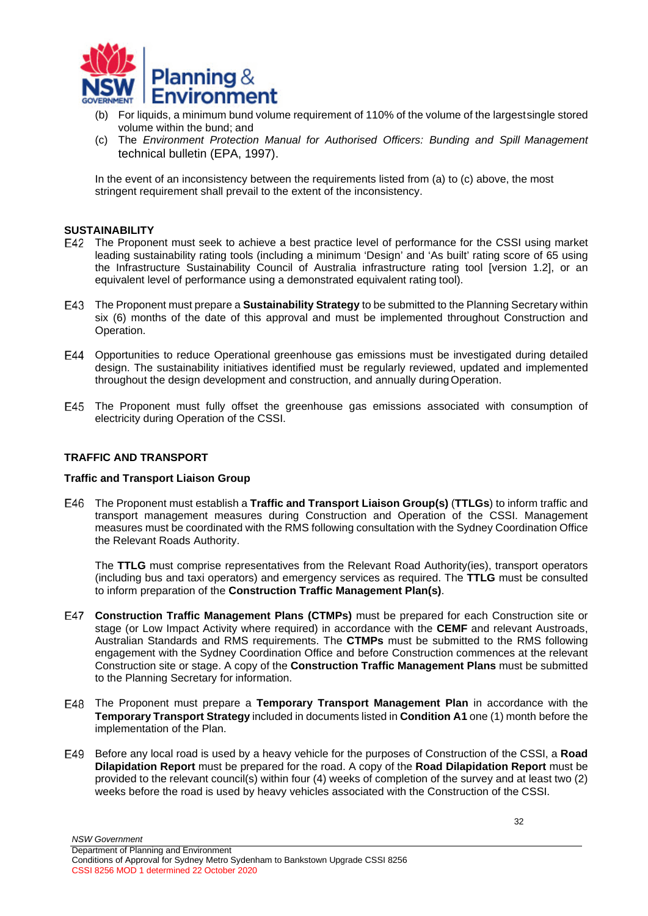

- (b) For liquids, a minimum bund volume requirement of 110% of the volume of the largestsingle stored volume within the bund; and
- (c) The *Environment Protection Manual for Authorised Officers: Bunding and Spill Management* technical bulletin (EPA, 1997).

In the event of an inconsistency between the requirements listed from (a) to (c) above, the most stringent requirement shall prevail to the extent of the inconsistency.

### <span id="page-31-0"></span>**SUSTAINABILITY**

- The Proponent must seek to achieve a best practice level of performance for the CSSI using market leading sustainability rating tools (including a minimum 'Design' and 'As built' rating score of 65 using the Infrastructure Sustainability Council of Australia infrastructure rating tool [version 1.2], or an equivalent level of performance using a demonstrated equivalent rating tool).
- The Proponent must prepare a **Sustainability Strategy** to be submitted to the Planning Secretary within six (6) months of the date of this approval and must be implemented throughout Construction and Operation.
- Opportunities to reduce Operational greenhouse gas emissions must be investigated during detailed design. The sustainability initiatives identified must be regularly reviewed, updated and implemented throughout the design development and construction, and annually duringOperation.
- The Proponent must fully offset the greenhouse gas emissions associated with consumption of electricity during Operation of the CSSI.

### <span id="page-31-1"></span>**TRAFFIC AND TRANSPORT**

*NSW Government*

### **Traffic and Transport Liaison Group**

The Proponent must establish a **Traffic and Transport Liaison Group(s)** (**TTLGs**) to inform traffic and transport management measures during Construction and Operation of the CSSI. Management measures must be coordinated with the RMS following consultation with the Sydney Coordination Office the Relevant Roads Authority.

The **TTLG** must comprise representatives from the Relevant Road Authority(ies), transport operators (including bus and taxi operators) and emergency services as required. The **TTLG** must be consulted to inform preparation of the **Construction Traffic Management Plan(s)**.

- **Construction Traffic Management Plans (CTMPs)** must be prepared for each Construction site or stage (or Low Impact Activity where required) in accordance with the **CEMF** and relevant Austroads, Australian Standards and RMS requirements. The **CTMPs** must be submitted to the RMS following engagement with the Sydney Coordination Office and before Construction commences at the relevant Construction site or stage. A copy of the **Construction Traffic Management Plans** must be submitted to the Planning Secretary for information.
- The Proponent must prepare a **Temporary Transport Management Plan** in accordance with the **Temporary Transport Strategy** included in documents listed in **Condition A1** one (1) month before the implementation of the Plan.
- Before any local road is used by a heavy vehicle for the purposes of Construction of the CSSI, a **Road Dilapidation Report** must be prepared for the road. A copy of the **Road Dilapidation Report** must be provided to the relevant council(s) within four (4) weeks of completion of the survey and at least two (2) weeks before the road is used by heavy vehicles associated with the Construction of the CSSI.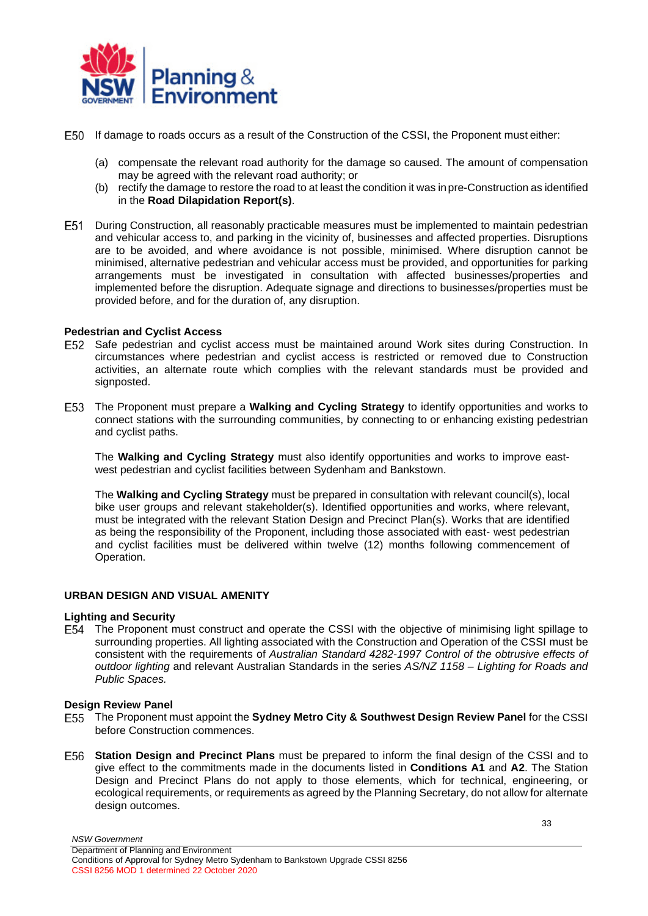

- If damage to roads occurs as a result of the Construction of the CSSI, the Proponent must either:
	- (a) compensate the relevant road authority for the damage so caused. The amount of compensation may be agreed with the relevant road authority; or
	- (b) rectify the damage to restore the road to at least the condition it was in pre-Construction as identified in the **Road Dilapidation Report(s)**.
- During Construction, all reasonably practicable measures must be implemented to maintain pedestrian and vehicular access to, and parking in the vicinity of, businesses and affected properties. Disruptions are to be avoided, and where avoidance is not possible, minimised. Where disruption cannot be minimised, alternative pedestrian and vehicular access must be provided, and opportunities for parking arrangements must be investigated in consultation with affected businesses/properties and implemented before the disruption. Adequate signage and directions to businesses/properties must be provided before, and for the duration of, any disruption.

### **Pedestrian and Cyclist Access**

- E52 Safe pedestrian and cyclist access must be maintained around Work sites during Construction. In circumstances where pedestrian and cyclist access is restricted or removed due to Construction activities, an alternate route which complies with the relevant standards must be provided and signposted.
- The Proponent must prepare a **Walking and Cycling Strategy** to identify opportunities and works to connect stations with the surrounding communities, by connecting to or enhancing existing pedestrian and cyclist paths.

The **Walking and Cycling Strategy** must also identify opportunities and works to improve eastwest pedestrian and cyclist facilities between Sydenham and Bankstown.

The **Walking and Cycling Strategy** must be prepared in consultation with relevant council(s), local bike user groups and relevant stakeholder(s). Identified opportunities and works, where relevant, must be integrated with the relevant Station Design and Precinct Plan(s). Works that are identified as being the responsibility of the Proponent, including those associated with east- west pedestrian and cyclist facilities must be delivered within twelve (12) months following commencement of Operation.

### <span id="page-32-0"></span>**URBAN DESIGN AND VISUAL AMENITY**

### **Lighting and Security**

The Proponent must construct and operate the CSSI with the objective of minimising light spillage to surrounding properties. All lighting associated with the Construction and Operation of the CSSI must be consistent with the requirements of *Australian Standard 4282-1997 Control of the obtrusive effects of outdoor lighting* and relevant Australian Standards in the series *AS/NZ 1158 – Lighting for Roads and Public Spaces.*

### **Design Review Panel**

- The Proponent must appoint the **Sydney Metro City & Southwest Design Review Panel** for the CSSI before Construction commences.
- **Station Design and Precinct Plans** must be prepared to inform the final design of the CSSI and to give effect to the commitments made in the documents listed in **Conditions A1** and **A2**. The Station Design and Precinct Plans do not apply to those elements, which for technical, engineering, or ecological requirements, or requirements as agreed by the Planning Secretary, do not allow for alternate design outcomes.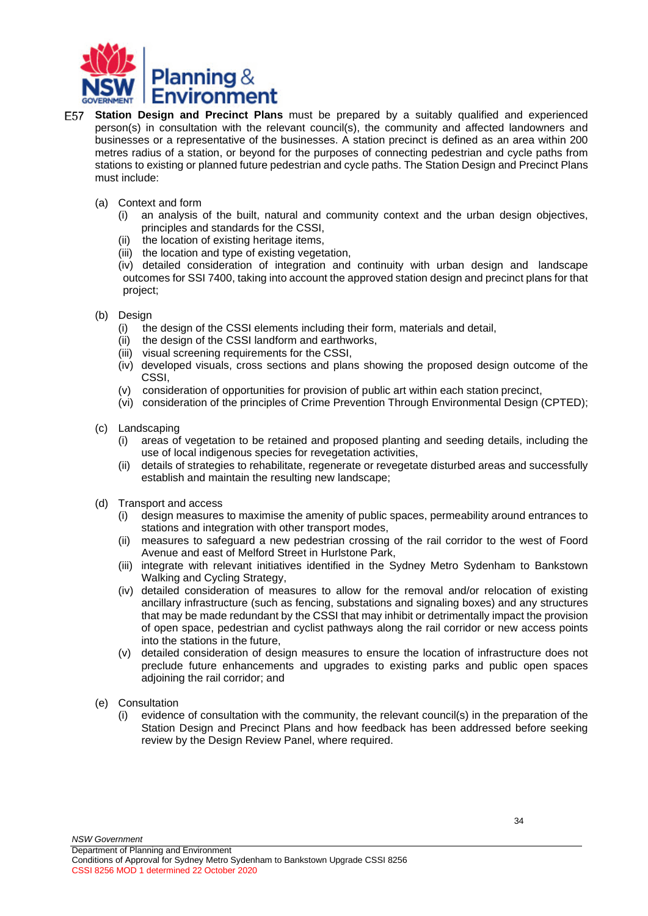

- **Station Design and Precinct Plans** must be prepared by a suitably qualified and experienced person(s) in consultation with the relevant council(s), the community and affected landowners and businesses or a representative of the businesses. A station precinct is defined as an area within 200 metres radius of a station, or beyond for the purposes of connecting pedestrian and cycle paths from stations to existing or planned future pedestrian and cycle paths. The Station Design and Precinct Plans must include:
	- (a) Context and form
		- (i) an analysis of the built, natural and community context and the urban design objectives, principles and standards for the CSSI,
		- (ii) the location of existing heritage items,
		- (iii) the location and type of existing vegetation,

(iv) detailed consideration of integration and continuity with urban design and landscape outcomes for SSI 7400, taking into account the approved station design and precinct plans for that project;

- (b) Design
	- (i) the design of the CSSI elements including their form, materials and detail,
	- (ii) the design of the CSSI landform and earthworks,
	- (iii) visual screening requirements for the CSSI,
	- (iv) developed visuals, cross sections and plans showing the proposed design outcome of the CSSI,
	- (v) consideration of opportunities for provision of public art within each station precinct,
	- (vi) consideration of the principles of Crime Prevention Through Environmental Design (CPTED);
- (c) Landscaping
	- (i) areas of vegetation to be retained and proposed planting and seeding details, including the use of local indigenous species for revegetation activities,
	- (ii) details of strategies to rehabilitate, regenerate or revegetate disturbed areas and successfully establish and maintain the resulting new landscape;
- (d) Transport and access
	- (i) design measures to maximise the amenity of public spaces, permeability around entrances to stations and integration with other transport modes,
	- (ii) measures to safeguard a new pedestrian crossing of the rail corridor to the west of Foord Avenue and east of Melford Street in Hurlstone Park,
	- (iii) integrate with relevant initiatives identified in the Sydney Metro Sydenham to Bankstown Walking and Cycling Strategy,
	- (iv) detailed consideration of measures to allow for the removal and/or relocation of existing ancillary infrastructure (such as fencing, substations and signaling boxes) and any structures that may be made redundant by the CSSI that may inhibit or detrimentally impact the provision of open space, pedestrian and cyclist pathways along the rail corridor or new access points into the stations in the future,
	- (v) detailed consideration of design measures to ensure the location of infrastructure does not preclude future enhancements and upgrades to existing parks and public open spaces adjoining the rail corridor; and
- (e) Consultation
	- (i) evidence of consultation with the community, the relevant council(s) in the preparation of the Station Design and Precinct Plans and how feedback has been addressed before seeking review by the Design Review Panel, where required.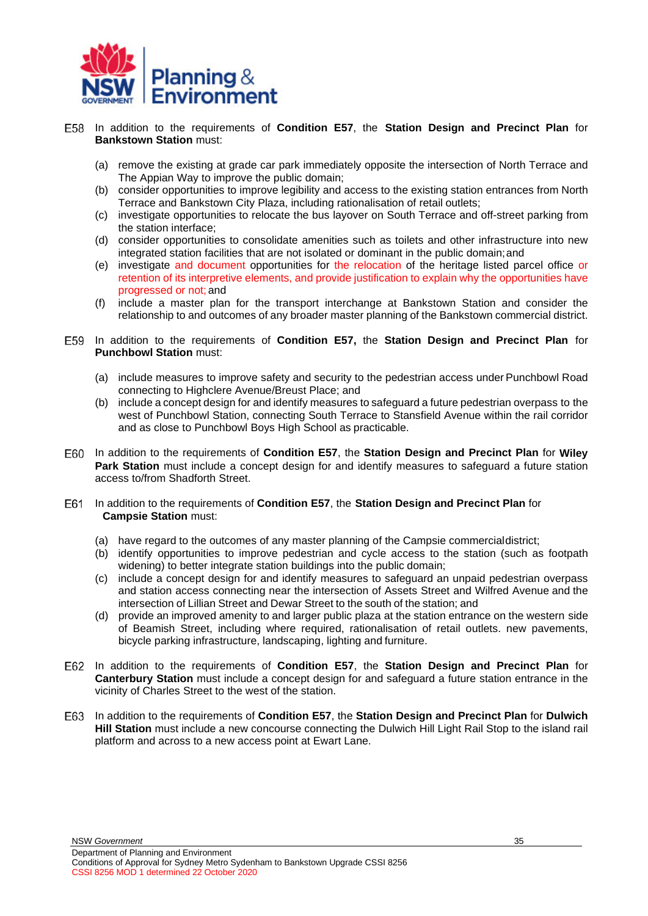

- In addition to the requirements of **Condition E57**, the **Station Design and Precinct Plan** for **Bankstown Station** must:
	- (a) remove the existing at grade car park immediately opposite the intersection of North Terrace and The Appian Way to improve the public domain;
	- (b) consider opportunities to improve legibility and access to the existing station entrances from North Terrace and Bankstown City Plaza, including rationalisation of retail outlets;
	- (c) investigate opportunities to relocate the bus layover on South Terrace and off-street parking from the station interface;
	- (d) consider opportunities to consolidate amenities such as toilets and other infrastructure into new integrated station facilities that are not isolated or dominant in the public domain;and
	- (e) investigate and document opportunities for the relocation of the heritage listed parcel office or retention of its interpretive elements, and provide justification to explain why the opportunities have progressed or not; and
	- (f) include a master plan for the transport interchange at Bankstown Station and consider the relationship to and outcomes of any broader master planning of the Bankstown commercial district.
- In addition to the requirements of **Condition E57,** the **Station Design and Precinct Plan** for **Punchbowl Station** must:
	- (a) include measures to improve safety and security to the pedestrian access under Punchbowl Road connecting to Highclere Avenue/Breust Place; and
	- (b) include a concept design for and identify measures to safeguard a future pedestrian overpass to the west of Punchbowl Station, connecting South Terrace to Stansfield Avenue within the rail corridor and as close to Punchbowl Boys High School as practicable.
- In addition to the requirements of **Condition E57**, the **Station Design and Precinct Plan** for **Wiley Park Station** must include a concept design for and identify measures to safeguard a future station access to/from Shadforth Street.
- In addition to the requirements of **Condition E57**, the **Station Design and Precinct Plan** for **Campsie Station** must:
	- (a) have regard to the outcomes of any master planning of the Campsie commercialdistrict;
	- (b) identify opportunities to improve pedestrian and cycle access to the station (such as footpath widening) to better integrate station buildings into the public domain;
	- (c) include a concept design for and identify measures to safeguard an unpaid pedestrian overpass and station access connecting near the intersection of Assets Street and Wilfred Avenue and the intersection of Lillian Street and Dewar Street to the south of the station; and
	- (d) provide an improved amenity to and larger public plaza at the station entrance on the western side of Beamish Street, including where required, rationalisation of retail outlets. new pavements, bicycle parking infrastructure, landscaping, lighting and furniture.
- In addition to the requirements of **Condition E57**, the **Station Design and Precinct Plan** for **Canterbury Station** must include a concept design for and safeguard a future station entrance in the vicinity of Charles Street to the west of the station.
- In addition to the requirements of **Condition E57**, the **Station Design and Precinct Plan** for **Dulwich Hill Station** must include a new concourse connecting the Dulwich Hill Light Rail Stop to the island rail platform and across to a new access point at Ewart Lane.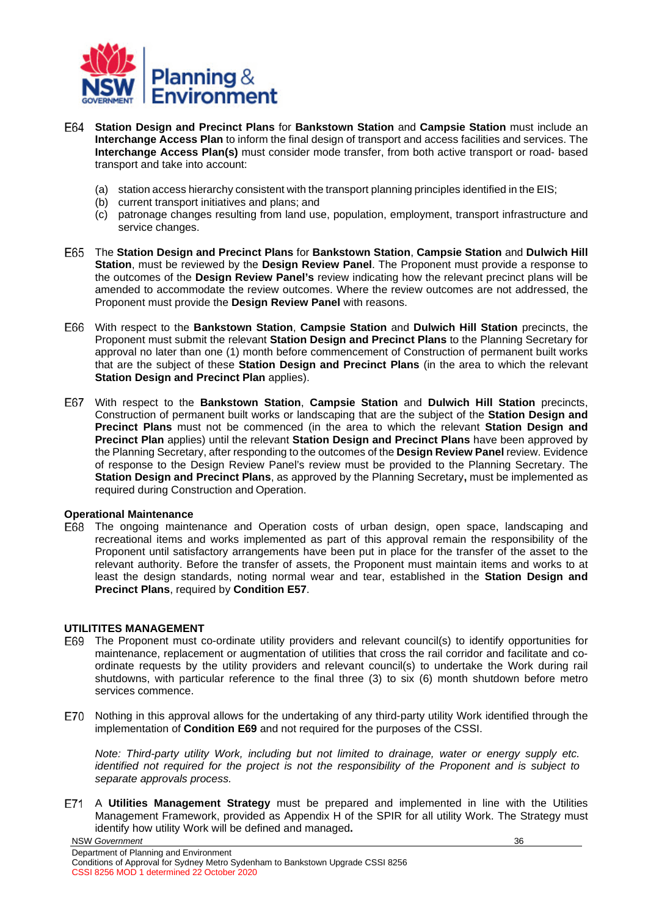

- **Station Design and Precinct Plans** for **Bankstown Station** and **Campsie Station** must include an **Interchange Access Plan** to inform the final design of transport and access facilities and services. The **Interchange Access Plan(s)** must consider mode transfer, from both active transport or road- based transport and take into account:
	- (a) station access hierarchy consistent with the transport planning principles identified in the EIS;
	- (b) current transport initiatives and plans; and
	- (c) patronage changes resulting from land use, population, employment, transport infrastructure and service changes.
- The **Station Design and Precinct Plans** for **Bankstown Station**, **Campsie Station** and **Dulwich Hill Station**, must be reviewed by the **Design Review Panel**. The Proponent must provide a response to the outcomes of the **Design Review Panel's** review indicating how the relevant precinct plans will be amended to accommodate the review outcomes. Where the review outcomes are not addressed, the Proponent must provide the **Design Review Panel** with reasons.
- With respect to the **Bankstown Station**, **Campsie Station** and **Dulwich Hill Station** precincts, the Proponent must submit the relevant **Station Design and Precinct Plans** to the Planning Secretary for approval no later than one (1) month before commencement of Construction of permanent built works that are the subject of these **Station Design and Precinct Plans** (in the area to which the relevant **Station Design and Precinct Plan applies).**
- With respect to the **Bankstown Station**, **Campsie Station** and **Dulwich Hill Station** precincts, Construction of permanent built works or landscaping that are the subject of the **Station Design and Precinct Plans** must not be commenced (in the area to which the relevant **Station Design and Precinct Plan** applies) until the relevant **Station Design and Precinct Plans** have been approved by the Planning Secretary, after responding to the outcomes of the **Design Review Panel** review. Evidence of response to the Design Review Panel's review must be provided to the Planning Secretary. The **Station Design and Precinct Plans**, as approved by the Planning Secretary**,** must be implemented as required during Construction and Operation.

### **Operational Maintenance**

The ongoing maintenance and Operation costs of urban design, open space, landscaping and recreational items and works implemented as part of this approval remain the responsibility of the Proponent until satisfactory arrangements have been put in place for the transfer of the asset to the relevant authority. Before the transfer of assets, the Proponent must maintain items and works to at least the design standards, noting normal wear and tear, established in the **Station Design and Precinct Plans**, required by **Condition E57**.

### <span id="page-35-0"></span>**UTILITITES MANAGEMENT**

- The Proponent must co-ordinate utility providers and relevant council(s) to identify opportunities for maintenance, replacement or augmentation of utilities that cross the rail corridor and facilitate and coordinate requests by the utility providers and relevant council(s) to undertake the Work during rail shutdowns, with particular reference to the final three (3) to six (6) month shutdown before metro services commence.
- E70 Nothing in this approval allows for the undertaking of any third-party utility Work identified through the implementation of **Condition E69** and not required for the purposes of the CSSI.

*Note: Third-party utility Work, including but not limited to drainage, water or energy supply etc. identified not required for the project is not the responsibility of the Proponent and is subject to separate approvals process.*

NSW *Government* A **Utilities Management Strategy** must be prepared and implemented in line with the Utilities Management Framework, provided as Appendix H of the SPIR for all utility Work. The Strategy must identify how utility Work will be defined and managed**.**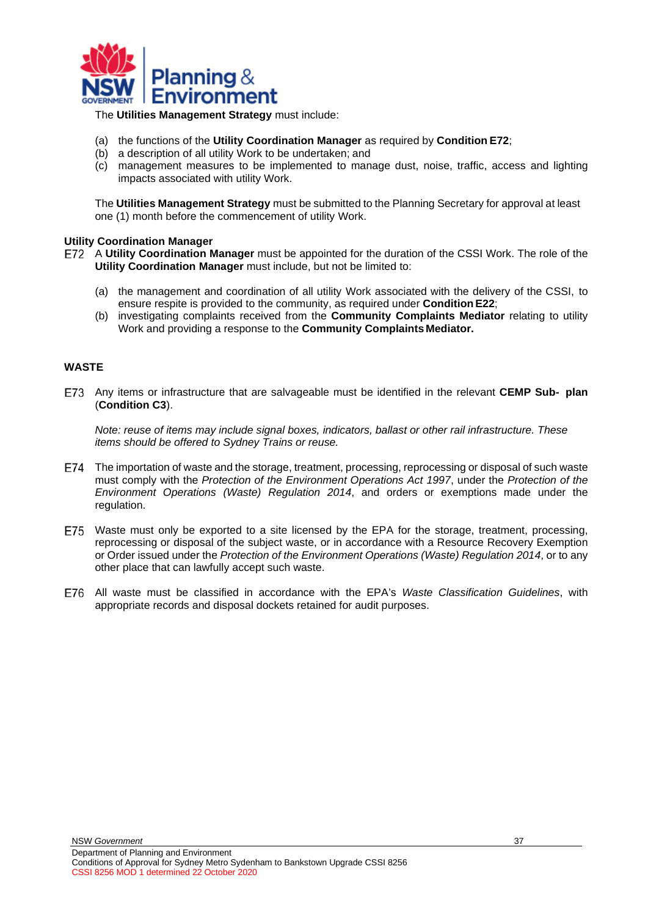

The **Utilities Management Strategy** must include:

- (a) the functions of the **Utility Coordination Manager** as required by **Condition E72**;
- (b) a description of all utility Work to be undertaken; and
- (c) management measures to be implemented to manage dust, noise, traffic, access and lighting impacts associated with utility Work.

The **Utilities Management Strategy** must be submitted to the Planning Secretary for approval at least one (1) month before the commencement of utility Work.

### **Utility Coordination Manager**

A **Utility Coordination Manager** must be appointed for the duration of the CSSI Work. The role of the **Utility Coordination Manager** must include, but not be limited to:

- (a) the management and coordination of all utility Work associated with the delivery of the CSSI, to ensure respite is provided to the community, as required under **ConditionE22**;
- (b) investigating complaints received from the **Community Complaints Mediator** relating to utility Work and providing a response to the **Community Complaints Mediator.**

### <span id="page-36-0"></span>**WASTE**

Any items or infrastructure that are salvageable must be identified in the relevant **CEMP Sub- plan** (**Condition C3**).

*Note: reuse of items may include signal boxes, indicators, ballast or other rail infrastructure. These items should be offered to Sydney Trains or reuse.*

- The importation of waste and the storage, treatment, processing, reprocessing or disposal of such waste must comply with the *Protection of the Environment Operations Act 1997*, under the *Protection of the Environment Operations (Waste) Regulation 2014*, and orders or exemptions made under the regulation.
- E75 Waste must only be exported to a site licensed by the EPA for the storage, treatment, processing, reprocessing or disposal of the subject waste, or in accordance with a Resource Recovery Exemption or Order issued under the *Protection of the Environment Operations (Waste) Regulation 2014*, or to any other place that can lawfully accept such waste.
- All waste must be classified in accordance with the EPA's *Waste Classification Guidelines*, with appropriate records and disposal dockets retained for audit purposes.